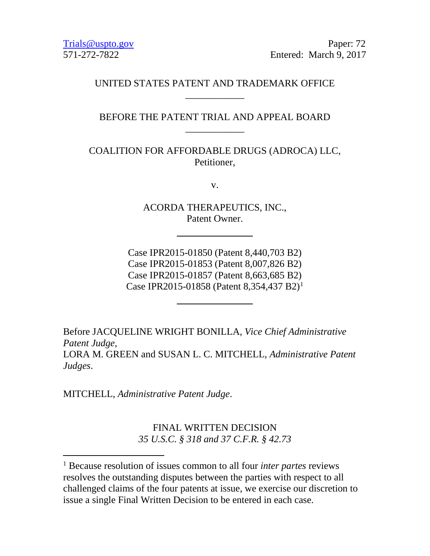Trials @uspto.gov Paper: 72 571-272-7822 Entered: March 9, 2017

# UNITED STATES PATENT AND TRADEMARK OFFICE \_\_\_\_\_\_\_\_\_\_\_\_

# BEFORE THE PATENT TRIAL AND APPEAL BOARD \_\_\_\_\_\_\_\_\_\_\_\_

COALITION FOR AFFORDABLE DRUGS (ADROCA) LLC, Petitioner,

v.

ACORDA THERAPEUTICS, INC., Patent Owner.

Case IPR2015-01850 (Patent 8,440,703 B2) Case IPR2015-01853 (Patent 8,007,826 B2) Case IPR2015-01857 (Patent 8,663,685 B2) Case IPR20[1](#page-0-0)5-01858 (Patent 8,354,437 B2)<sup>1</sup>

Before JACQUELINE WRIGHT BONILLA, *Vice Chief Administrative Patent Judge,*  LORA M. GREEN and SUSAN L. C. MITCHELL, *Administrative Patent Judges*.

MITCHELL, *Administrative Patent Judge*.

FINAL WRITTEN DECISION *35 U.S.C. § 318 and 37 C.F.R. § 42.73*

<span id="page-0-0"></span> <sup>1</sup> Because resolution of issues common to all four *inter partes* reviews resolves the outstanding disputes between the parties with respect to all challenged claims of the four patents at issue, we exercise our discretion to issue a single Final Written Decision to be entered in each case.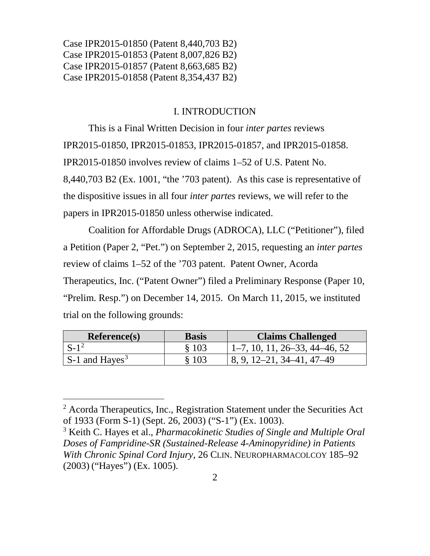## I. INTRODUCTION

This is a Final Written Decision in four *inter partes* reviews IPR2015-01850, IPR2015-01853, IPR2015-01857, and IPR2015-01858. IPR2015-01850 involves review of claims 1–52 of U.S. Patent No. 8,440,703 B2 (Ex. 1001, "the '703 patent). As this case is representative of the dispositive issues in all four *inter partes* reviews, we will refer to the papers in IPR2015-01850 unless otherwise indicated.

Coalition for Affordable Drugs (ADROCA), LLC ("Petitioner"), filed a Petition (Paper 2, "Pet.") on September 2, 2015, requesting an *inter partes* review of claims 1–52 of the '703 patent. Patent Owner, Acorda Therapeutics, Inc. ("Patent Owner") filed a Preliminary Response (Paper 10, "Prelim. Resp.") on December 14, 2015. On March 11, 2015, we instituted trial on the following grounds:

| Reference(s)                       | <b>Basis</b> | <b>Claims Challenged</b>        |
|------------------------------------|--------------|---------------------------------|
| $S-1^2$                            | \$103        | $1-7, 10, 11, 26-33, 44-46, 52$ |
| $\vert$ S-1 and Hayes <sup>3</sup> | § 103        | 8, 9, 12–21, 34–41, 47–49       |

<span id="page-1-0"></span> $2$  Acorda Therapeutics, Inc., Registration Statement under the Securities Act of 1933 (Form S-1) (Sept. 26, 2003) ("S-1") (Ex. 1003).

<span id="page-1-1"></span><sup>3</sup> Keith C. Hayes et al., *Pharmacokinetic Studies of Single and Multiple Oral Doses of Fampridine-SR (Sustained-Release 4-Aminopyridine) in Patients With Chronic Spinal Cord Injury*, 26 CLIN. NEUROPHARMACOLCOY 185–92 (2003) ("Hayes") (Ex. 1005).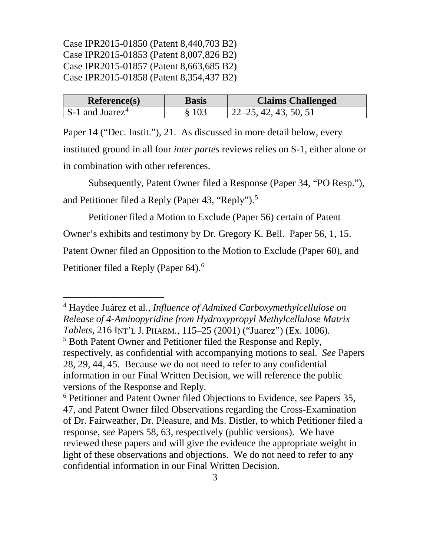| <b>Reference(s)</b>                 | <b>Basis</b> | <b>Claims Challenged</b>      |
|-------------------------------------|--------------|-------------------------------|
| $\vert$ S-1 and Juarez <sup>4</sup> | \$103        | $\vert$ 22–25, 42, 43, 50, 51 |

Paper 14 ("Dec. Instit."), 21. As discussed in more detail below, every instituted ground in all four *inter partes* reviews relies on S-1, either alone or in combination with other references.

Subsequently, Patent Owner filed a Response (Paper 34, "PO Resp."), and Petitioner filed a Reply (Paper 43, "Reply").<sup>[5](#page-2-1)</sup>

Petitioner filed a Motion to Exclude (Paper 56) certain of Patent Owner's exhibits and testimony by Dr. Gregory K. Bell. Paper 56, 1, 15. Patent Owner filed an Opposition to the Motion to Exclude (Paper 60), and Petitioner filed a Reply (Paper [6](#page-2-2)4).<sup>6</sup>

<span id="page-2-0"></span> 4 Haydee Juárez et al., *Influence of Admixed Carboxymethylcellulose on Release of 4-Aminopyridine from Hydroxypropyl Methylcellulose Matrix Tablets*, 216 INT'L J. PHARM., 115–25 (2001) ("Juarez") (Ex. 1006).

<span id="page-2-1"></span><sup>&</sup>lt;sup>5</sup> Both Patent Owner and Petitioner filed the Response and Reply, respectively, as confidential with accompanying motions to seal. *See* Papers 28, 29, 44, 45. Because we do not need to refer to any confidential information in our Final Written Decision, we will reference the public versions of the Response and Reply.

<span id="page-2-2"></span><sup>6</sup> Petitioner and Patent Owner filed Objections to Evidence, *see* Papers 35, 47, and Patent Owner filed Observations regarding the Cross-Examination of Dr. Fairweather, Dr. Pleasure, and Ms. Distler, to which Petitioner filed a response, *see* Papers 58, 63, respectively (public versions). We have reviewed these papers and will give the evidence the appropriate weight in light of these observations and objections. We do not need to refer to any confidential information in our Final Written Decision.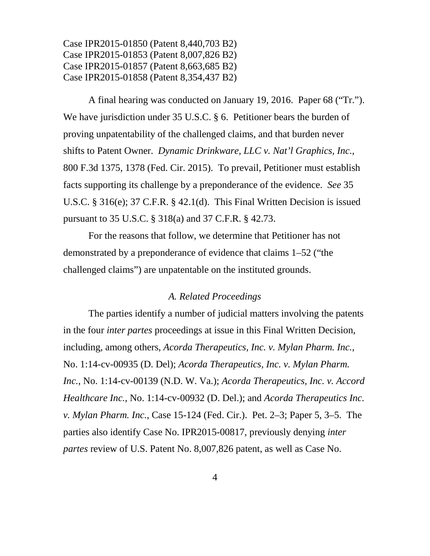A final hearing was conducted on January 19, 2016. Paper 68 ("Tr."). We have jurisdiction under 35 U.S.C. § 6. Petitioner bears the burden of proving unpatentability of the challenged claims, and that burden never shifts to Patent Owner. *Dynamic Drinkware, LLC v. Nat'l Graphics, Inc.*, 800 F.3d 1375, 1378 (Fed. Cir. 2015). To prevail, Petitioner must establish facts supporting its challenge by a preponderance of the evidence. *See* 35 U.S.C. § 316(e); 37 C.F.R. § 42.1(d). This Final Written Decision is issued pursuant to 35 U.S.C. § 318(a) and 37 C.F.R. § 42.73.

For the reasons that follow, we determine that Petitioner has not demonstrated by a preponderance of evidence that claims 1–52 ("the challenged claims") are unpatentable on the instituted grounds.

#### *A. Related Proceedings*

The parties identify a number of judicial matters involving the patents in the four *inter partes* proceedings at issue in this Final Written Decision, including, among others, *Acorda Therapeutics, Inc. v. Mylan Pharm. Inc.*, No. 1:14-cv-00935 (D. Del); *Acorda Therapeutics, Inc. v. Mylan Pharm. Inc.*, No. 1:14-cv-00139 (N.D. W. Va.); *Acorda Therapeutics, Inc. v. Accord Healthcare Inc.*, No. 1:14-cv-00932 (D. Del.); and *Acorda Therapeutics Inc. v. Mylan Pharm. Inc.*, Case 15-124 (Fed. Cir.). Pet. 2–3; Paper 5, 3–5. The parties also identify Case No. IPR2015-00817, previously denying *inter partes* review of U.S. Patent No. 8,007,826 patent, as well as Case No.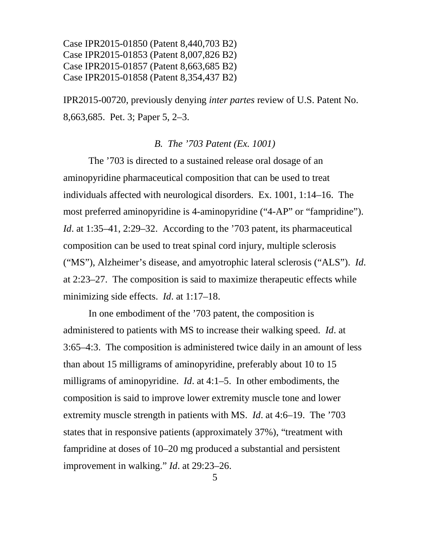IPR2015-00720, previously denying *inter partes* review of U.S. Patent No. 8,663,685. Pet. 3; Paper 5, 2–3.

#### *B. The '703 Patent (Ex. 1001)*

The '703 is directed to a sustained release oral dosage of an aminopyridine pharmaceutical composition that can be used to treat individuals affected with neurological disorders. Ex. 1001, 1:14–16. The most preferred aminopyridine is 4-aminopyridine ("4-AP" or "fampridine"). *Id.* at 1:35–41, 2:29–32. According to the '703 patent, its pharmaceutical composition can be used to treat spinal cord injury, multiple sclerosis ("MS"), Alzheimer's disease, and amyotrophic lateral sclerosis ("ALS"). *Id*. at 2:23–27. The composition is said to maximize therapeutic effects while minimizing side effects. *Id*. at 1:17–18.

In one embodiment of the '703 patent, the composition is administered to patients with MS to increase their walking speed. *Id*. at 3:65–4:3. The composition is administered twice daily in an amount of less than about 15 milligrams of aminopyridine, preferably about 10 to 15 milligrams of aminopyridine. *Id*. at 4:1–5. In other embodiments, the composition is said to improve lower extremity muscle tone and lower extremity muscle strength in patients with MS. *Id*. at 4:6–19. The '703 states that in responsive patients (approximately 37%), "treatment with fampridine at doses of 10–20 mg produced a substantial and persistent improvement in walking." *Id*. at 29:23–26.

5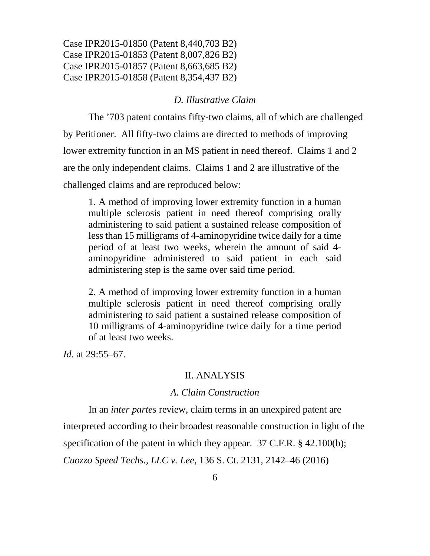#### *D. Illustrative Claim*

The '703 patent contains fifty-two claims, all of which are challenged by Petitioner. All fifty-two claims are directed to methods of improving lower extremity function in an MS patient in need thereof. Claims 1 and 2 are the only independent claims. Claims 1 and 2 are illustrative of the challenged claims and are reproduced below:

1. A method of improving lower extremity function in a human multiple sclerosis patient in need thereof comprising orally administering to said patient a sustained release composition of less than 15 milligrams of 4-aminopyridine twice daily for a time period of at least two weeks, wherein the amount of said 4 aminopyridine administered to said patient in each said administering step is the same over said time period.

2. A method of improving lower extremity function in a human multiple sclerosis patient in need thereof comprising orally administering to said patient a sustained release composition of 10 milligrams of 4-aminopyridine twice daily for a time period of at least two weeks.

*Id*. at 29:55–67.

#### II. ANALYSIS

## *A. Claim Construction*

In an *inter partes* review, claim terms in an unexpired patent are interpreted according to their broadest reasonable construction in light of the specification of the patent in which they appear. 37 C.F.R. § 42.100(b); *Cuozzo Speed Techs., LLC v. Lee*, 136 S. Ct. 2131, 2142–46 (2016)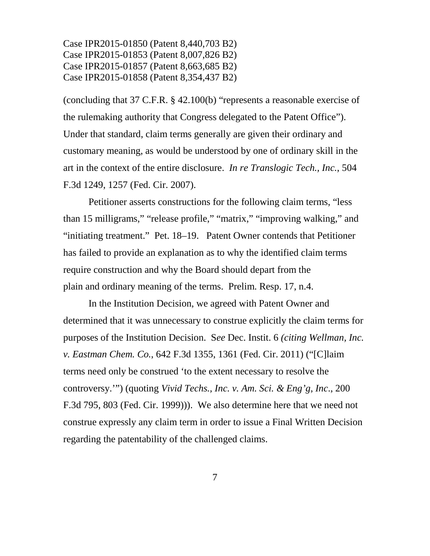(concluding that 37 C.F.R. § 42.100(b) "represents a reasonable exercise of the rulemaking authority that Congress delegated to the Patent Office"). Under that standard, claim terms generally are given their ordinary and customary meaning, as would be understood by one of ordinary skill in the art in the context of the entire disclosure. *In re Translogic Tech., Inc.*, 504 F.3d 1249, 1257 (Fed. Cir. 2007).

Petitioner asserts constructions for the following claim terms, "less than 15 milligrams," "release profile," "matrix," "improving walking," and "initiating treatment." Pet. 18–19. Patent Owner contends that Petitioner has failed to provide an explanation as to why the identified claim terms require construction and why the Board should depart from the plain and ordinary meaning of the terms. Prelim. Resp. 17, n.4.

In the Institution Decision, we agreed with Patent Owner and determined that it was unnecessary to construe explicitly the claim terms for purposes of the Institution Decision. S*ee* Dec. Instit. 6 *(citing Wellman, Inc. v. Eastman Chem. Co.*, 642 F.3d 1355, 1361 (Fed. Cir. 2011) ("[C]laim terms need only be construed 'to the extent necessary to resolve the controversy.'") (quoting *Vivid Techs., Inc. v. Am. Sci. & Eng'g, Inc*., 200 F.3d 795, 803 (Fed. Cir. 1999))). We also determine here that we need not construe expressly any claim term in order to issue a Final Written Decision regarding the patentability of the challenged claims.

7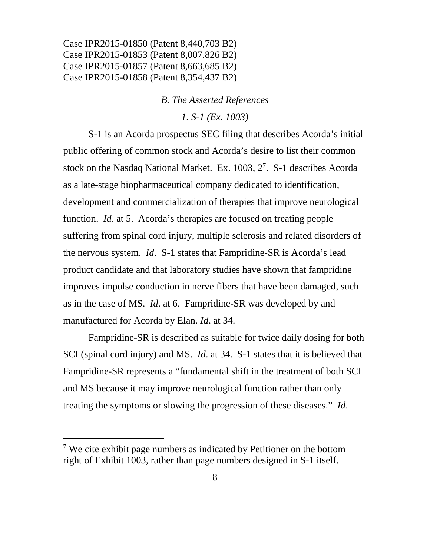#### *B. The Asserted References*

*1. S-1 (Ex. 1003)*

S-1 is an Acorda prospectus SEC filing that describes Acorda's initial public offering of common stock and Acorda's desire to list their common stock on the Nasdaq National Market. Ex. 1003, 2[7](#page-7-0) . S-1 describes Acorda as a late-stage biopharmaceutical company dedicated to identification, development and commercialization of therapies that improve neurological function. *Id*. at 5. Acorda's therapies are focused on treating people suffering from spinal cord injury, multiple sclerosis and related disorders of the nervous system. *Id*. S-1 states that Fampridine-SR is Acorda's lead product candidate and that laboratory studies have shown that fampridine improves impulse conduction in nerve fibers that have been damaged, such as in the case of MS. *Id*. at 6. Fampridine-SR was developed by and manufactured for Acorda by Elan. *Id*. at 34.

Fampridine-SR is described as suitable for twice daily dosing for both SCI (spinal cord injury) and MS. *Id*. at 34. S-1 states that it is believed that Fampridine-SR represents a "fundamental shift in the treatment of both SCI and MS because it may improve neurological function rather than only treating the symptoms or slowing the progression of these diseases." *Id*.

<span id="page-7-0"></span> $7$  We cite exhibit page numbers as indicated by Petitioner on the bottom right of Exhibit 1003, rather than page numbers designed in S-1 itself.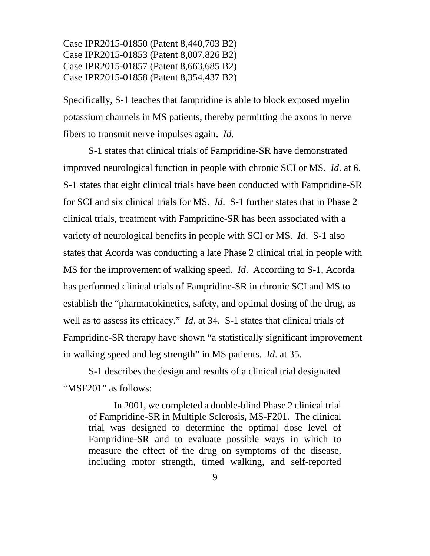Specifically, S-1 teaches that fampridine is able to block exposed myelin potassium channels in MS patients, thereby permitting the axons in nerve fibers to transmit nerve impulses again. *Id*.

S-1 states that clinical trials of Fampridine-SR have demonstrated improved neurological function in people with chronic SCI or MS. *Id*. at 6. S-1 states that eight clinical trials have been conducted with Fampridine-SR for SCI and six clinical trials for MS. *Id*. S-1 further states that in Phase 2 clinical trials, treatment with Fampridine-SR has been associated with a variety of neurological benefits in people with SCI or MS. *Id*. S-1 also states that Acorda was conducting a late Phase 2 clinical trial in people with MS for the improvement of walking speed. *Id*. According to S-1, Acorda has performed clinical trials of Fampridine-SR in chronic SCI and MS to establish the "pharmacokinetics, safety, and optimal dosing of the drug, as well as to assess its efficacy." *Id*. at 34. S-1 states that clinical trials of Fampridine-SR therapy have shown "a statistically significant improvement in walking speed and leg strength" in MS patients. *Id*. at 35.

S-1 describes the design and results of a clinical trial designated "MSF201" as follows:

In 2001, we completed a double-blind Phase 2 clinical trial of Fampridine-SR in Multiple Sclerosis, MS-F201. The clinical trial was designed to determine the optimal dose level of Fampridine-SR and to evaluate possible ways in which to measure the effect of the drug on symptoms of the disease, including motor strength, timed walking, and self-reported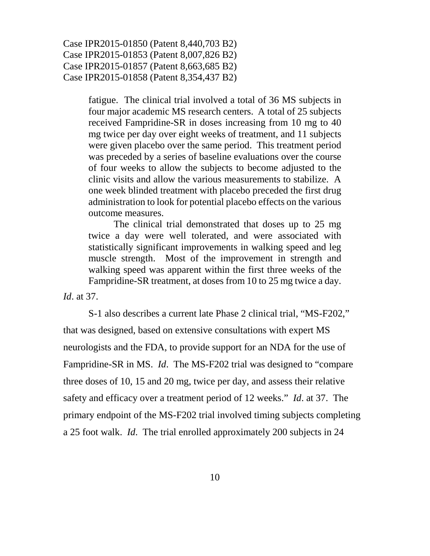> fatigue. The clinical trial involved a total of 36 MS subjects in four major academic MS research centers. A total of 25 subjects received Fampridine-SR in doses increasing from 10 mg to 40 mg twice per day over eight weeks of treatment, and 11 subjects were given placebo over the same period. This treatment period was preceded by a series of baseline evaluations over the course of four weeks to allow the subjects to become adjusted to the clinic visits and allow the various measurements to stabilize. A one week blinded treatment with placebo preceded the first drug administration to look for potential placebo effects on the various outcome measures.

> The clinical trial demonstrated that doses up to 25 mg twice a day were well tolerated, and were associated with statistically significant improvements in walking speed and leg muscle strength. Most of the improvement in strength and walking speed was apparent within the first three weeks of the Fampridine-SR treatment, at doses from 10 to 25 mg twice a day.

*Id*. at 37.

S-1 also describes a current late Phase 2 clinical trial, "MS-F202," that was designed, based on extensive consultations with expert MS neurologists and the FDA, to provide support for an NDA for the use of Fampridine-SR in MS. *Id*. The MS-F202 trial was designed to "compare three doses of 10, 15 and 20 mg, twice per day, and assess their relative safety and efficacy over a treatment period of 12 weeks." *Id*. at 37. The primary endpoint of the MS-F202 trial involved timing subjects completing a 25 foot walk. *Id*. The trial enrolled approximately 200 subjects in 24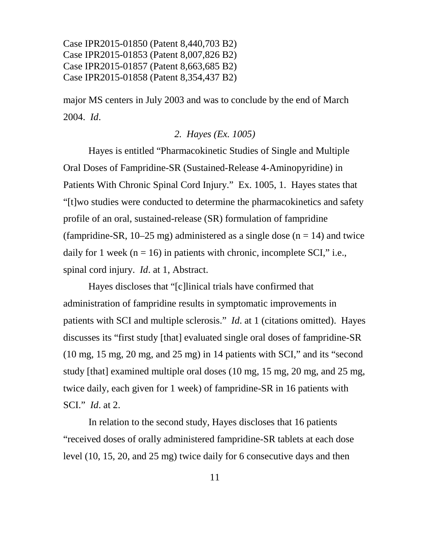major MS centers in July 2003 and was to conclude by the end of March 2004. *Id*.

## *2. Hayes (Ex. 1005)*

Hayes is entitled "Pharmacokinetic Studies of Single and Multiple Oral Doses of Fampridine-SR (Sustained-Release 4-Aminopyridine) in Patients With Chronic Spinal Cord Injury." Ex. 1005, 1. Hayes states that "[t]wo studies were conducted to determine the pharmacokinetics and safety profile of an oral, sustained-release (SR) formulation of fampridine (fampridine-SR,  $10-25$  mg) administered as a single dose (n = 14) and twice daily for 1 week ( $n = 16$ ) in patients with chronic, incomplete SCI," i.e., spinal cord injury. *Id*. at 1, Abstract.

Hayes discloses that "[c]linical trials have confirmed that administration of fampridine results in symptomatic improvements in patients with SCI and multiple sclerosis." *Id*. at 1 (citations omitted). Hayes discusses its "first study [that] evaluated single oral doses of fampridine-SR (10 mg, 15 mg, 20 mg, and 25 mg) in 14 patients with SCI," and its "second study [that] examined multiple oral doses (10 mg, 15 mg, 20 mg, and 25 mg, twice daily, each given for 1 week) of fampridine-SR in 16 patients with SCI." *Id*. at 2.

In relation to the second study, Hayes discloses that 16 patients "received doses of orally administered fampridine-SR tablets at each dose level (10, 15, 20, and 25 mg) twice daily for 6 consecutive days and then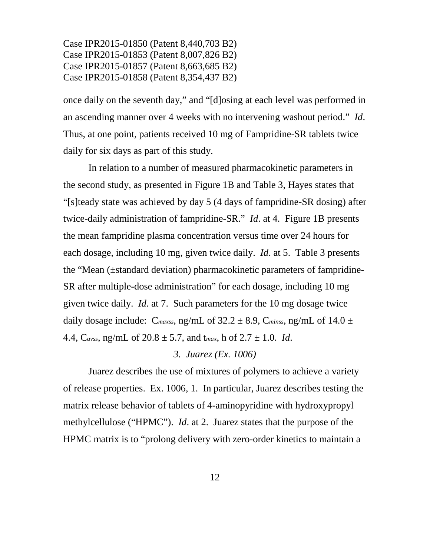once daily on the seventh day," and "[d]osing at each level was performed in an ascending manner over 4 weeks with no intervening washout period." *Id*. Thus, at one point, patients received 10 mg of Fampridine-SR tablets twice daily for six days as part of this study.

In relation to a number of measured pharmacokinetic parameters in the second study, as presented in Figure 1B and Table 3, Hayes states that "[s]teady state was achieved by day 5 (4 days of fampridine-SR dosing) after twice-daily administration of fampridine-SR." *Id*. at 4. Figure 1B presents the mean fampridine plasma concentration versus time over 24 hours for each dosage, including 10 mg, given twice daily. *Id*. at 5. Table 3 presents the "Mean (±standard deviation) pharmacokinetic parameters of fampridine-SR after multiple-dose administration" for each dosage, including 10 mg given twice daily. *Id*. at 7. Such parameters for the 10 mg dosage twice daily dosage include: C<sub>maxss</sub>, ng/mL of  $32.2 \pm 8.9$ , C<sub>minss</sub>, ng/mL of  $14.0 \pm$ 4.4, C*avss*, ng/mL of 20.8 ± 5.7, and t*max*, h of 2.7 ± 1.0. *Id*.

## *3. Juarez (Ex. 1006)*

Juarez describes the use of mixtures of polymers to achieve a variety of release properties. Ex. 1006, 1. In particular, Juarez describes testing the matrix release behavior of tablets of 4-aminopyridine with hydroxypropyl methylcellulose ("HPMC"). *Id*. at 2. Juarez states that the purpose of the HPMC matrix is to "prolong delivery with zero-order kinetics to maintain a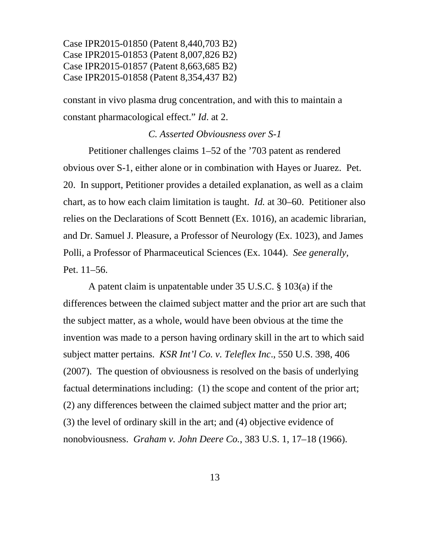constant in vivo plasma drug concentration, and with this to maintain a constant pharmacological effect." *Id*. at 2.

## *C. Asserted Obviousness over S-1*

Petitioner challenges claims 1–52 of the '703 patent as rendered obvious over S-1, either alone or in combination with Hayes or Juarez. Pet. 20. In support, Petitioner provides a detailed explanation, as well as a claim chart, as to how each claim limitation is taught. *Id.* at 30–60. Petitioner also relies on the Declarations of Scott Bennett (Ex. 1016), an academic librarian, and Dr. Samuel J. Pleasure, a Professor of Neurology (Ex. 1023), and James Polli, a Professor of Pharmaceutical Sciences (Ex. 1044). *See generally,* Pet. 11–56.

A patent claim is unpatentable under 35 U.S.C. § 103(a) if the differences between the claimed subject matter and the prior art are such that the subject matter, as a whole, would have been obvious at the time the invention was made to a person having ordinary skill in the art to which said subject matter pertains. *KSR Int'l Co. v. Teleflex Inc*., 550 U.S. 398, 406 (2007). The question of obviousness is resolved on the basis of underlying factual determinations including: (1) the scope and content of the prior art; (2) any differences between the claimed subject matter and the prior art; (3) the level of ordinary skill in the art; and (4) objective evidence of nonobviousness. *Graham v. John Deere Co.*, 383 U.S. 1, 17–18 (1966).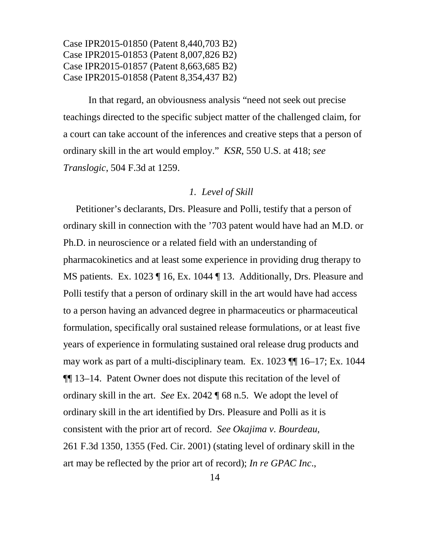In that regard, an obviousness analysis "need not seek out precise teachings directed to the specific subject matter of the challenged claim, for a court can take account of the inferences and creative steps that a person of ordinary skill in the art would employ." *KSR*, 550 U.S. at 418; *see Translogic*, 504 F.3d at 1259.

#### *1. Level of Skill*

Petitioner's declarants, Drs. Pleasure and Polli, testify that a person of ordinary skill in connection with the '703 patent would have had an M.D. or Ph.D. in neuroscience or a related field with an understanding of pharmacokinetics and at least some experience in providing drug therapy to MS patients. Ex. 1023 ¶ 16, Ex. 1044 ¶ 13. Additionally, Drs. Pleasure and Polli testify that a person of ordinary skill in the art would have had access to a person having an advanced degree in pharmaceutics or pharmaceutical formulation, specifically oral sustained release formulations, or at least five years of experience in formulating sustained oral release drug products and may work as part of a multi-disciplinary team. Ex. 1023 ¶¶ 16–17; Ex. 1044 ¶¶ 13–14. Patent Owner does not dispute this recitation of the level of ordinary skill in the art. *See* Ex. 2042 ¶ 68 n.5. We adopt the level of ordinary skill in the art identified by Drs. Pleasure and Polli as it is consistent with the prior art of record. *See Okajima v. Bourdeau*, 261 F.3d 1350, 1355 (Fed. Cir. 2001) (stating level of ordinary skill in the art may be reflected by the prior art of record); *In re GPAC Inc*.,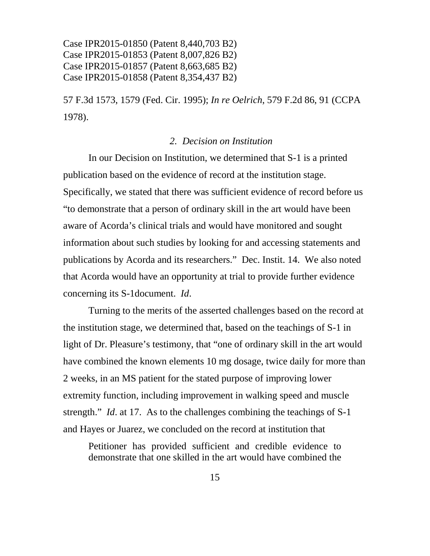57 F.3d 1573, 1579 (Fed. Cir. 1995); *In re Oelrich*, 579 F.2d 86, 91 (CCPA 1978).

## *2. Decision on Institution*

In our Decision on Institution, we determined that S-1 is a printed publication based on the evidence of record at the institution stage. Specifically, we stated that there was sufficient evidence of record before us "to demonstrate that a person of ordinary skill in the art would have been aware of Acorda's clinical trials and would have monitored and sought information about such studies by looking for and accessing statements and publications by Acorda and its researchers." Dec. Instit. 14. We also noted that Acorda would have an opportunity at trial to provide further evidence concerning its S-1document. *Id*.

Turning to the merits of the asserted challenges based on the record at the institution stage, we determined that, based on the teachings of S-1 in light of Dr. Pleasure's testimony, that "one of ordinary skill in the art would have combined the known elements 10 mg dosage, twice daily for more than 2 weeks, in an MS patient for the stated purpose of improving lower extremity function, including improvement in walking speed and muscle strength." *Id*. at 17. As to the challenges combining the teachings of S-1 and Hayes or Juarez, we concluded on the record at institution that

Petitioner has provided sufficient and credible evidence to demonstrate that one skilled in the art would have combined the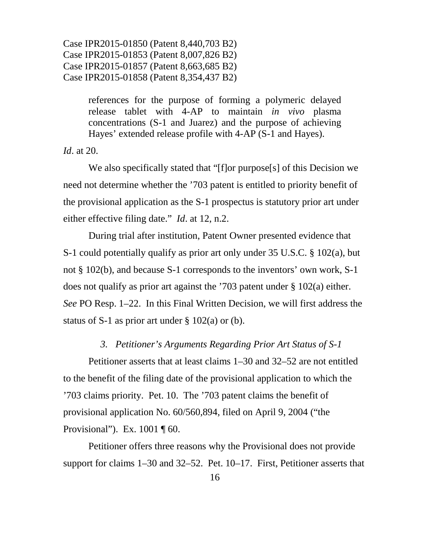> references for the purpose of forming a polymeric delayed release tablet with 4-AP to maintain *in vivo* plasma concentrations (S-1 and Juarez) and the purpose of achieving Hayes' extended release profile with 4-AP (S-1 and Hayes).

*Id*. at 20.

We also specifically stated that "[f]or purpose[s] of this Decision we need not determine whether the '703 patent is entitled to priority benefit of the provisional application as the S-1 prospectus is statutory prior art under either effective filing date." *Id*. at 12, n.2.

During trial after institution, Patent Owner presented evidence that S-1 could potentially qualify as prior art only under 35 U.S.C. § 102(a), but not § 102(b), and because S-1 corresponds to the inventors' own work, S-1 does not qualify as prior art against the '703 patent under § 102(a) either. *See* PO Resp. 1–22. In this Final Written Decision, we will first address the status of S-1 as prior art under  $\S$  102(a) or (b).

# *3. Petitioner's Arguments Regarding Prior Art Status of S-1*

Petitioner asserts that at least claims 1–30 and 32–52 are not entitled to the benefit of the filing date of the provisional application to which the '703 claims priority. Pet. 10. The '703 patent claims the benefit of provisional application No. 60/560,894, filed on April 9, 2004 ("the Provisional"). Ex. 1001 ¶ 60.

Petitioner offers three reasons why the Provisional does not provide support for claims 1–30 and 32–52. Pet. 10–17. First, Petitioner asserts that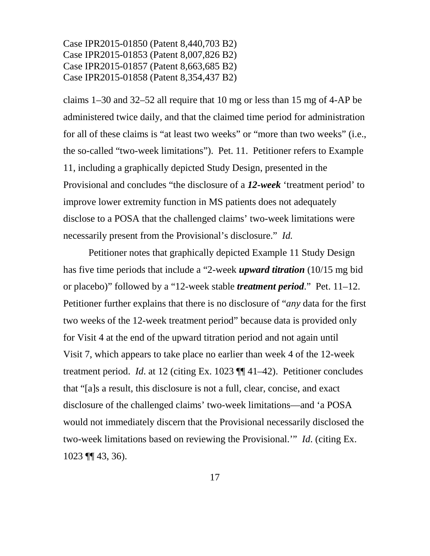claims 1–30 and 32–52 all require that 10 mg or less than 15 mg of 4-AP be administered twice daily, and that the claimed time period for administration for all of these claims is "at least two weeks" or "more than two weeks" (i.e., the so-called "two-week limitations"). Pet. 11. Petitioner refers to Example 11, including a graphically depicted Study Design, presented in the Provisional and concludes "the disclosure of a *12-week* 'treatment period' to improve lower extremity function in MS patients does not adequately disclose to a POSA that the challenged claims' two-week limitations were necessarily present from the Provisional's disclosure." *Id.*

Petitioner notes that graphically depicted Example 11 Study Design has five time periods that include a "2-week *upward titration* (10/15 mg bid or placebo)" followed by a "12-week stable *treatment period*." Pet. 11–12. Petitioner further explains that there is no disclosure of "*any* data for the first two weeks of the 12-week treatment period" because data is provided only for Visit 4 at the end of the upward titration period and not again until Visit 7, which appears to take place no earlier than week 4 of the 12-week treatment period. *Id*. at 12 (citing Ex. 1023 ¶¶ 41–42). Petitioner concludes that "[a]s a result, this disclosure is not a full, clear, concise, and exact disclosure of the challenged claims' two-week limitations—and 'a POSA would not immediately discern that the Provisional necessarily disclosed the two-week limitations based on reviewing the Provisional.'" *Id*. (citing Ex. 1023 ¶¶ 43, 36).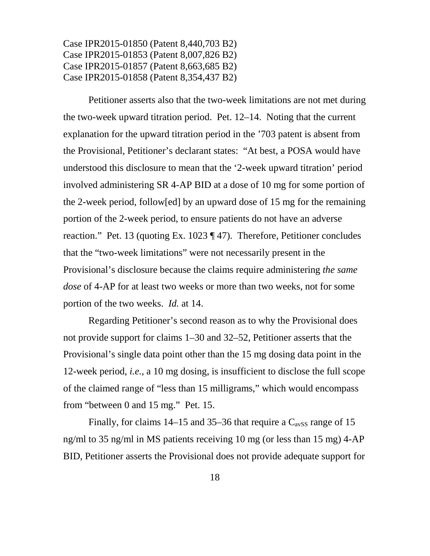Petitioner asserts also that the two-week limitations are not met during the two-week upward titration period. Pet. 12–14. Noting that the current explanation for the upward titration period in the '703 patent is absent from the Provisional, Petitioner's declarant states: "At best, a POSA would have understood this disclosure to mean that the '2-week upward titration' period involved administering SR 4-AP BID at a dose of 10 mg for some portion of the 2-week period, follow[ed] by an upward dose of 15 mg for the remaining portion of the 2-week period, to ensure patients do not have an adverse reaction." Pet. 13 (quoting Ex. 1023 ¶ 47). Therefore, Petitioner concludes that the "two-week limitations" were not necessarily present in the Provisional's disclosure because the claims require administering *the same dose* of 4-AP for at least two weeks or more than two weeks, not for some portion of the two weeks. *Id.* at 14.

Regarding Petitioner's second reason as to why the Provisional does not provide support for claims 1–30 and 32–52, Petitioner asserts that the Provisional's single data point other than the 15 mg dosing data point in the 12-week period, *i.e.*, a 10 mg dosing, is insufficient to disclose the full scope of the claimed range of "less than 15 milligrams," which would encompass from "between 0 and 15 mg." Pet. 15.

Finally, for claims  $14-15$  and  $35-36$  that require a  $C_{avSS}$  range of 15 ng/ml to 35 ng/ml in MS patients receiving 10 mg (or less than 15 mg) 4-AP BID, Petitioner asserts the Provisional does not provide adequate support for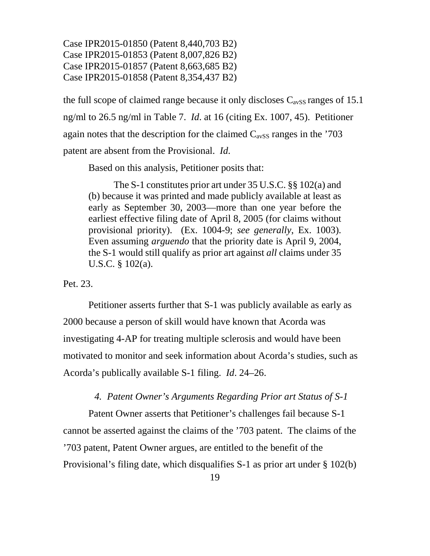the full scope of claimed range because it only discloses  $C_{avSS}$  ranges of 15.1 ng/ml to 26.5 ng/ml in Table 7. *Id*. at 16 (citing Ex. 1007, 45). Petitioner again notes that the description for the claimed  $C_{avSS}$  ranges in the '703 patent are absent from the Provisional. *Id*.

Based on this analysis, Petitioner posits that:

The S-1 constitutes prior art under 35 U.S.C. §§ 102(a) and (b) because it was printed and made publicly available at least as early as September 30, 2003—more than one year before the earliest effective filing date of April 8, 2005 (for claims without provisional priority). (Ex. 1004-9; *see generally*, Ex. 1003). Even assuming *arguendo* that the priority date is April 9, 2004, the S-1 would still qualify as prior art against *all* claims under 35 U.S.C. § 102(a).

# Pet. 23.

Petitioner asserts further that S-1 was publicly available as early as 2000 because a person of skill would have known that Acorda was investigating 4-AP for treating multiple sclerosis and would have been motivated to monitor and seek information about Acorda's studies, such as Acorda's publically available S-1 filing. *Id*. 24–26.

## *4. Patent Owner's Arguments Regarding Prior art Status of S-1*

Patent Owner asserts that Petitioner's challenges fail because S-1 cannot be asserted against the claims of the '703 patent. The claims of the '703 patent, Patent Owner argues, are entitled to the benefit of the Provisional's filing date, which disqualifies S-1 as prior art under § 102(b)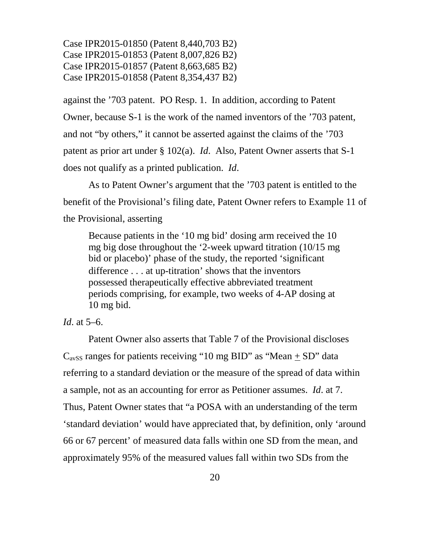against the '703 patent. PO Resp. 1. In addition, according to Patent Owner, because S-1 is the work of the named inventors of the '703 patent, and not "by others," it cannot be asserted against the claims of the '703 patent as prior art under § 102(a). *Id*. Also, Patent Owner asserts that S-1 does not qualify as a printed publication. *Id*.

As to Patent Owner's argument that the '703 patent is entitled to the benefit of the Provisional's filing date, Patent Owner refers to Example 11 of the Provisional, asserting

Because patients in the '10 mg bid' dosing arm received the 10 mg big dose throughout the '2-week upward titration (10/15 mg bid or placebo)' phase of the study, the reported 'significant difference . . . at up-titration' shows that the inventors possessed therapeutically effective abbreviated treatment periods comprising, for example, two weeks of 4-AP dosing at 10 mg bid.

# *Id*. at 5–6.

Patent Owner also asserts that Table 7 of the Provisional discloses  $C_{avSS}$  ranges for patients receiving "10 mg BID" as "Mean + SD" data referring to a standard deviation or the measure of the spread of data within a sample, not as an accounting for error as Petitioner assumes. *Id*. at 7. Thus, Patent Owner states that "a POSA with an understanding of the term 'standard deviation' would have appreciated that, by definition, only 'around 66 or 67 percent' of measured data falls within one SD from the mean, and approximately 95% of the measured values fall within two SDs from the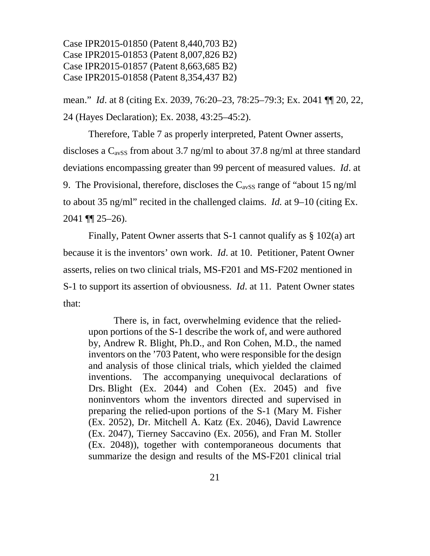mean." *Id*. at 8 (citing Ex. 2039, 76:20–23, 78:25–79:3; Ex. 2041 ¶¶ 20, 22, 24 (Hayes Declaration); Ex. 2038, 43:25–45:2).

Therefore, Table 7 as properly interpreted, Patent Owner asserts, discloses a  $C_{avSS}$  from about 3.7 ng/ml to about 37.8 ng/ml at three standard deviations encompassing greater than 99 percent of measured values. *Id*. at 9. The Provisional, therefore, discloses the  $C_{avSS}$  range of "about 15 ng/ml" to about 35 ng/ml" recited in the challenged claims. *Id.* at 9–10 (citing Ex.  $2041$  ¶  $25-26$ ).

Finally, Patent Owner asserts that S-1 cannot qualify as § 102(a) art because it is the inventors' own work. *Id*. at 10. Petitioner, Patent Owner asserts, relies on two clinical trials, MS-F201 and MS-F202 mentioned in S-1 to support its assertion of obviousness. *Id*. at 11. Patent Owner states that:

There is, in fact, overwhelming evidence that the reliedupon portions of the S-1 describe the work of, and were authored by, Andrew R. Blight, Ph.D., and Ron Cohen, M.D., the named inventors on the '703 Patent, who were responsible for the design and analysis of those clinical trials, which yielded the claimed inventions. The accompanying unequivocal declarations of Drs. Blight (Ex. 2044) and Cohen (Ex. 2045) and five noninventors whom the inventors directed and supervised in preparing the relied-upon portions of the S-1 (Mary M. Fisher (Ex. 2052), Dr. Mitchell A. Katz (Ex. 2046), David Lawrence (Ex. 2047), Tierney Saccavino (Ex. 2056), and Fran M. Stoller (Ex. 2048)), together with contemporaneous documents that summarize the design and results of the MS-F201 clinical trial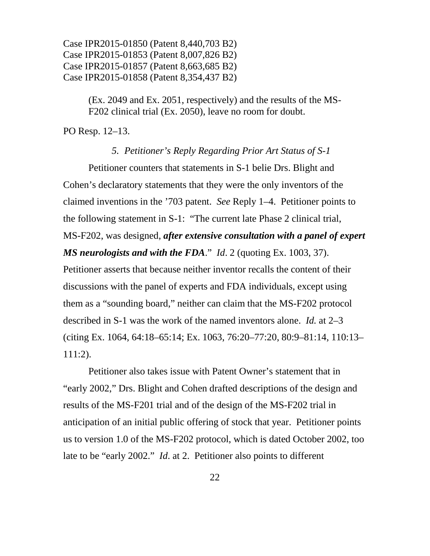> (Ex. 2049 and Ex. 2051, respectively) and the results of the MS-F202 clinical trial (Ex. 2050), leave no room for doubt.

PO Resp. 12–13.

# *5. Petitioner's Reply Regarding Prior Art Status of S-1*

Petitioner counters that statements in S-1 belie Drs. Blight and Cohen's declaratory statements that they were the only inventors of the claimed inventions in the '703 patent. *See* Reply 1–4. Petitioner points to the following statement in S-1: "The current late Phase 2 clinical trial, MS-F202, was designed, *after extensive consultation with a panel of expert MS neurologists and with the FDA*." *Id*. 2 (quoting Ex. 1003, 37). Petitioner asserts that because neither inventor recalls the content of their discussions with the panel of experts and FDA individuals, except using them as a "sounding board," neither can claim that the MS-F202 protocol described in S-1 was the work of the named inventors alone. *Id.* at 2–3 (citing Ex. 1064, 64:18–65:14; Ex. 1063, 76:20–77:20, 80:9–81:14, 110:13– 111:2).

Petitioner also takes issue with Patent Owner's statement that in "early 2002," Drs. Blight and Cohen drafted descriptions of the design and results of the MS-F201 trial and of the design of the MS-F202 trial in anticipation of an initial public offering of stock that year. Petitioner points us to version 1.0 of the MS-F202 protocol, which is dated October 2002, too late to be "early 2002." *Id*. at 2. Petitioner also points to different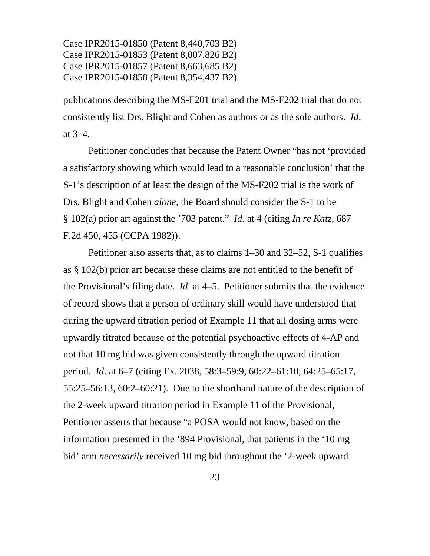publications describing the MS-F201 trial and the MS-F202 trial that do not consistently list Drs. Blight and Cohen as authors or as the sole authors. *Id*. at 3–4.

Petitioner concludes that because the Patent Owner "has not 'provided a satisfactory showing which would lead to a reasonable conclusion' that the S-1's description of at least the design of the MS-F202 trial is the work of Drs. Blight and Cohen *alone*, the Board should consider the S-1 to be § 102(a) prior art against the '703 patent." *Id*. at 4 (citing *In re Katz*, 687 F.2d 450, 455 (CCPA 1982)).

Petitioner also asserts that, as to claims 1–30 and 32–52, S-1 qualifies as § 102(b) prior art because these claims are not entitled to the benefit of the Provisional's filing date. *Id*. at 4–5. Petitioner submits that the evidence of record shows that a person of ordinary skill would have understood that during the upward titration period of Example 11 that all dosing arms were upwardly titrated because of the potential psychoactive effects of 4-AP and not that 10 mg bid was given consistently through the upward titration period. *Id*. at 6–7 (citing Ex. 2038, 58:3–59:9, 60:22–61:10, 64:25–65:17, 55:25–56:13, 60:2–60:21). Due to the shorthand nature of the description of the 2-week upward titration period in Example 11 of the Provisional, Petitioner asserts that because "a POSA would not know, based on the information presented in the '894 Provisional, that patients in the '10 mg bid' arm *necessarily* received 10 mg bid throughout the '2-week upward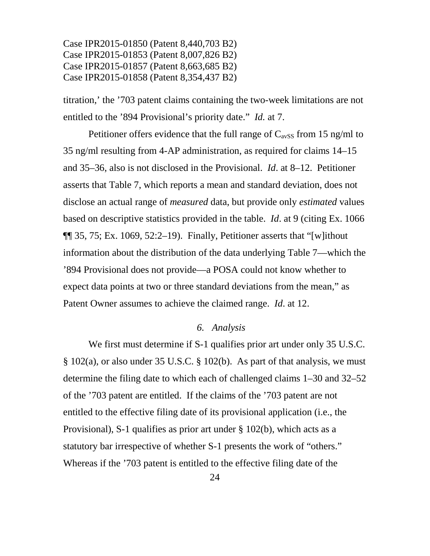titration,' the '703 patent claims containing the two-week limitations are not entitled to the '894 Provisional's priority date." *Id.* at 7.

Petitioner offers evidence that the full range of  $C_{avSS}$  from 15 ng/ml to 35 ng/ml resulting from 4-AP administration, as required for claims 14–15 and 35–36, also is not disclosed in the Provisional. *Id*. at 8–12. Petitioner asserts that Table 7, which reports a mean and standard deviation, does not disclose an actual range of *measured* data, but provide only *estimated* values based on descriptive statistics provided in the table. *Id*. at 9 (citing Ex. 1066  $\P$  35, 75; Ex. 1069, 52:2–19). Finally, Petitioner asserts that "[w] ithout information about the distribution of the data underlying Table 7—which the '894 Provisional does not provide—a POSA could not know whether to expect data points at two or three standard deviations from the mean," as Patent Owner assumes to achieve the claimed range. *Id*. at 12.

#### *6. Analysis*

We first must determine if S-1 qualifies prior art under only 35 U.S.C. § 102(a), or also under 35 U.S.C. § 102(b). As part of that analysis, we must determine the filing date to which each of challenged claims 1–30 and 32–52 of the '703 patent are entitled. If the claims of the '703 patent are not entitled to the effective filing date of its provisional application (i.e., the Provisional), S-1 qualifies as prior art under § 102(b), which acts as a statutory bar irrespective of whether S-1 presents the work of "others." Whereas if the '703 patent is entitled to the effective filing date of the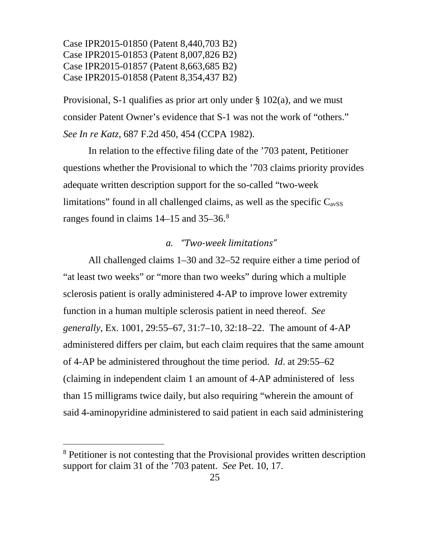Provisional, S-1 qualifies as prior art only under  $\S 102(a)$ , and we must consider Patent Owner's evidence that S-1 was not the work of "others." *See In re Katz*, 687 F.2d 450, 454 (CCPA 1982).

In relation to the effective filing date of the '703 patent, Petitioner questions whether the Provisional to which the '703 claims priority provides adequate written description support for the so-called "two-week limitations" found in all challenged claims, as well as the specific  $C_{avSS}$ ranges found in claims 14–15 and 35–36.[8](#page-24-0)

# *a. "Two-week limitations"*

All challenged claims 1–30 and 32–52 require either a time period of "at least two weeks" or "more than two weeks" during which a multiple sclerosis patient is orally administered 4-AP to improve lower extremity function in a human multiple sclerosis patient in need thereof. *See generally*, Ex. 1001, 29:55–67, 31:7–10, 32:18–22. The amount of 4-AP administered differs per claim, but each claim requires that the same amount of 4-AP be administered throughout the time period. *Id*. at 29:55–62 (claiming in independent claim 1 an amount of 4-AP administered of less than 15 milligrams twice daily, but also requiring "wherein the amount of said 4-aminopyridine administered to said patient in each said administering

<span id="page-24-0"></span><sup>&</sup>lt;sup>8</sup> Petitioner is not contesting that the Provisional provides written description support for claim 31 of the '703 patent. *See* Pet. 10, 17.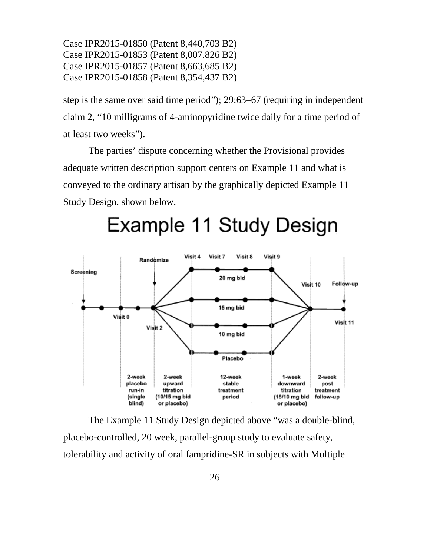step is the same over said time period"); 29:63–67 (requiring in independent claim 2, "10 milligrams of 4-aminopyridine twice daily for a time period of at least two weeks").

The parties' dispute concerning whether the Provisional provides adequate written description support centers on Example 11 and what is conveyed to the ordinary artisan by the graphically depicted Example 11 Study Design, shown below.



# Example 11 Study Design

The Example 11 Study Design depicted above "was a double-blind, placebo-controlled, 20 week, parallel-group study to evaluate safety, tolerability and activity of oral fampridine-SR in subjects with Multiple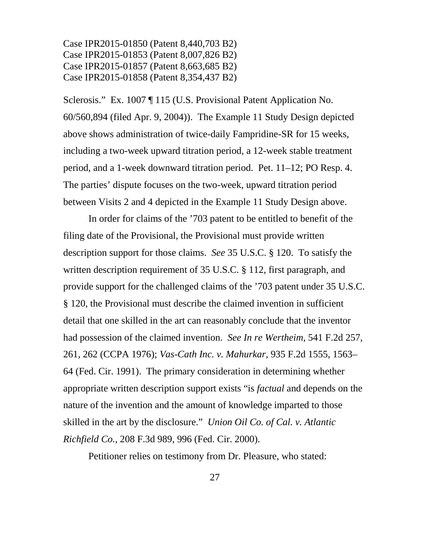Sclerosis." Ex. 1007 ¶ 115 (U.S. Provisional Patent Application No. 60/560,894 (filed Apr. 9, 2004)). The Example 11 Study Design depicted above shows administration of twice-daily Fampridine-SR for 15 weeks, including a two-week upward titration period, a 12-week stable treatment period, and a 1-week downward titration period. Pet. 11–12; PO Resp. 4. The parties' dispute focuses on the two-week, upward titration period between Visits 2 and 4 depicted in the Example 11 Study Design above.

In order for claims of the '703 patent to be entitled to benefit of the filing date of the Provisional, the Provisional must provide written description support for those claims. *See* 35 U.S.C. § 120. To satisfy the written description requirement of 35 U.S.C. § 112, first paragraph, and provide support for the challenged claims of the '703 patent under 35 U.S.C. § 120, the Provisional must describe the claimed invention in sufficient detail that one skilled in the art can reasonably conclude that the inventor had possession of the claimed invention. *See In re Wertheim*, 541 F.2d 257, 261, 262 (CCPA 1976); *Vas-Cath Inc. v. Mahurkar*, 935 F.2d 1555, 1563– 64 (Fed. Cir. 1991). The primary consideration in determining whether appropriate written description support exists "is *factual* and depends on the nature of the invention and the amount of knowledge imparted to those skilled in the art by the disclosure." *Union Oil Co. of Cal. v. Atlantic Richfield Co.*, 208 F.3d 989, 996 (Fed. Cir. 2000).

Petitioner relies on testimony from Dr. Pleasure, who stated: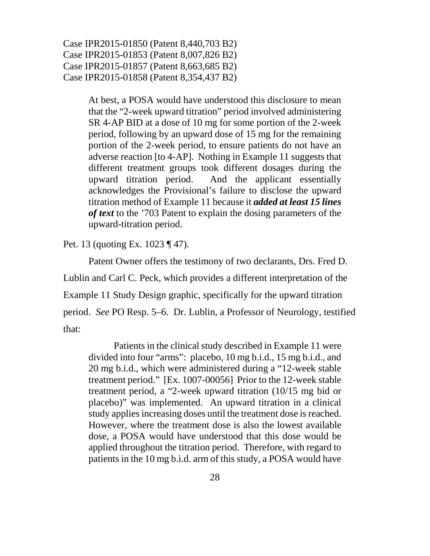> At best, a POSA would have understood this disclosure to mean that the "2-week upward titration" period involved administering SR 4-AP BID at a dose of 10 mg for some portion of the 2-week period, following by an upward dose of 15 mg for the remaining portion of the 2-week period, to ensure patients do not have an adverse reaction [to 4-AP]. Nothing in Example 11 suggests that different treatment groups took different dosages during the upward titration period. And the applicant essentially acknowledges the Provisional's failure to disclose the upward titration method of Example 11 because it *added at least 15 lines of text* to the '703 Patent to explain the dosing parameters of the upward-titration period.

Pet. 13 (quoting Ex. 1023 ¶ 47).

Patent Owner offers the testimony of two declarants, Drs. Fred D. Lublin and Carl C. Peck, which provides a different interpretation of the Example 11 Study Design graphic, specifically for the upward titration period. *See* PO Resp. 5–6. Dr. Lublin, a Professor of Neurology, testified that:

Patients in the clinical study described in Example 11 were divided into four "arms": placebo, 10 mg b.i.d., 15 mg b.i.d., and 20 mg b.i.d., which were administered during a "12-week stable treatment period." [Ex. 1007-00056] Prior to the 12-week stable treatment period, a "2-week upward titration (10/15 mg bid or placebo)" was implemented. An upward titration in a clinical study applies increasing doses until the treatment dose is reached. However, where the treatment dose is also the lowest available dose, a POSA would have understood that this dose would be applied throughout the titration period. Therefore, with regard to patients in the 10 mg b.i.d. arm of this study, a POSA would have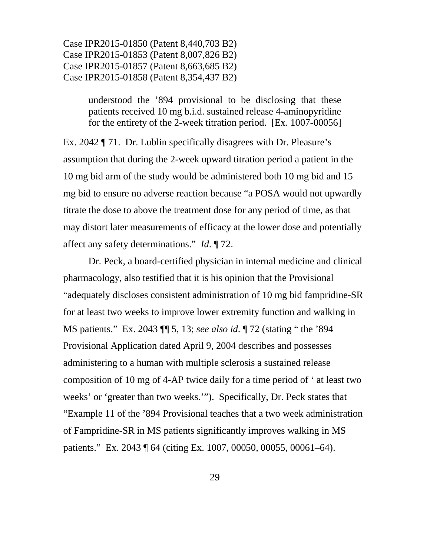> understood the '894 provisional to be disclosing that these patients received 10 mg b.i.d. sustained release 4-aminopyridine for the entirety of the 2-week titration period. [Ex. 1007-00056]

Ex. 2042 ¶ 71. Dr. Lublin specifically disagrees with Dr. Pleasure's assumption that during the 2-week upward titration period a patient in the 10 mg bid arm of the study would be administered both 10 mg bid and 15 mg bid to ensure no adverse reaction because "a POSA would not upwardly titrate the dose to above the treatment dose for any period of time, as that may distort later measurements of efficacy at the lower dose and potentially affect any safety determinations." *Id*. ¶ 72.

Dr. Peck, a board-certified physician in internal medicine and clinical pharmacology, also testified that it is his opinion that the Provisional "adequately discloses consistent administration of 10 mg bid fampridine-SR for at least two weeks to improve lower extremity function and walking in MS patients." Ex. 2043 ¶¶ 5, 13; *see also id*. ¶ 72 (stating " the '894 Provisional Application dated April 9, 2004 describes and possesses administering to a human with multiple sclerosis a sustained release composition of 10 mg of 4-AP twice daily for a time period of ' at least two weeks' or 'greater than two weeks.'"). Specifically, Dr. Peck states that "Example 11 of the '894 Provisional teaches that a two week administration of Fampridine-SR in MS patients significantly improves walking in MS patients." Ex. 2043 ¶ 64 (citing Ex. 1007, 00050, 00055, 00061–64).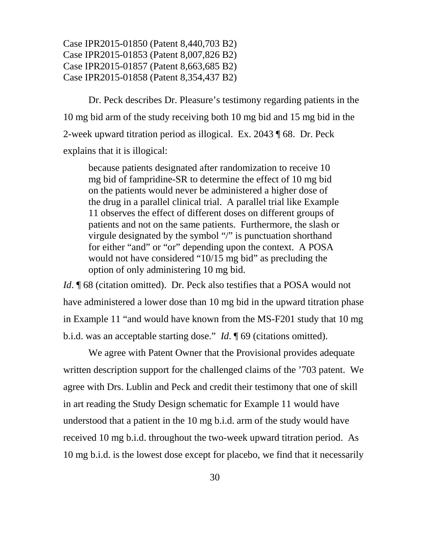Dr. Peck describes Dr. Pleasure's testimony regarding patients in the 10 mg bid arm of the study receiving both 10 mg bid and 15 mg bid in the 2-week upward titration period as illogical. Ex. 2043 ¶ 68. Dr. Peck explains that it is illogical:

because patients designated after randomization to receive 10 mg bid of fampridine-SR to determine the effect of 10 mg bid on the patients would never be administered a higher dose of the drug in a parallel clinical trial. A parallel trial like Example 11 observes the effect of different doses on different groups of patients and not on the same patients. Furthermore, the slash or virgule designated by the symbol "/" is punctuation shorthand for either "and" or "or" depending upon the context. A POSA would not have considered "10/15 mg bid" as precluding the option of only administering 10 mg bid.

*Id*. ¶ 68 (citation omitted). Dr. Peck also testifies that a POSA would not have administered a lower dose than 10 mg bid in the upward titration phase in Example 11 "and would have known from the MS-F201 study that 10 mg b.i.d. was an acceptable starting dose." *Id*. ¶ 69 (citations omitted).

We agree with Patent Owner that the Provisional provides adequate written description support for the challenged claims of the '703 patent. We agree with Drs. Lublin and Peck and credit their testimony that one of skill in art reading the Study Design schematic for Example 11 would have understood that a patient in the 10 mg b.i.d. arm of the study would have received 10 mg b.i.d. throughout the two-week upward titration period. As 10 mg b.i.d. is the lowest dose except for placebo, we find that it necessarily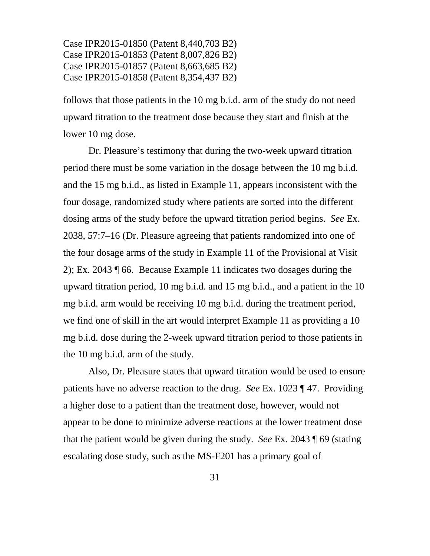follows that those patients in the 10 mg b.i.d. arm of the study do not need upward titration to the treatment dose because they start and finish at the lower 10 mg dose.

Dr. Pleasure's testimony that during the two-week upward titration period there must be some variation in the dosage between the 10 mg b.i.d. and the 15 mg b.i.d., as listed in Example 11, appears inconsistent with the four dosage, randomized study where patients are sorted into the different dosing arms of the study before the upward titration period begins. *See* Ex. 2038, 57:7–16 (Dr. Pleasure agreeing that patients randomized into one of the four dosage arms of the study in Example 11 of the Provisional at Visit 2); Ex. 2043 ¶ 66. Because Example 11 indicates two dosages during the upward titration period, 10 mg b.i.d. and 15 mg b.i.d., and a patient in the 10 mg b.i.d. arm would be receiving 10 mg b.i.d. during the treatment period, we find one of skill in the art would interpret Example 11 as providing a 10 mg b.i.d. dose during the 2-week upward titration period to those patients in the 10 mg b.i.d. arm of the study.

Also, Dr. Pleasure states that upward titration would be used to ensure patients have no adverse reaction to the drug. *See* Ex. 1023 ¶ 47. Providing a higher dose to a patient than the treatment dose, however, would not appear to be done to minimize adverse reactions at the lower treatment dose that the patient would be given during the study. *See* Ex. 2043 ¶ 69 (stating escalating dose study, such as the MS-F201 has a primary goal of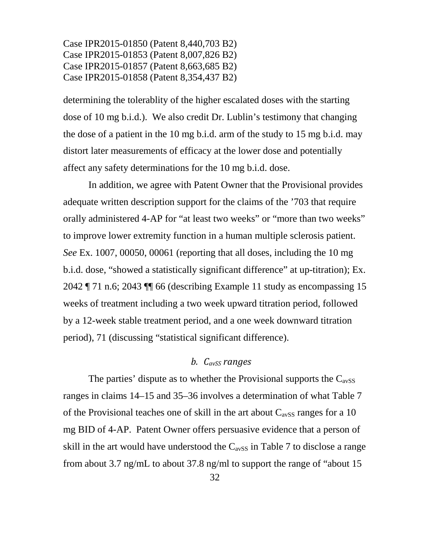determining the tolerablity of the higher escalated doses with the starting dose of 10 mg b.i.d.). We also credit Dr. Lublin's testimony that changing the dose of a patient in the 10 mg b.i.d. arm of the study to 15 mg b.i.d. may distort later measurements of efficacy at the lower dose and potentially affect any safety determinations for the 10 mg b.i.d. dose.

In addition, we agree with Patent Owner that the Provisional provides adequate written description support for the claims of the '703 that require orally administered 4-AP for "at least two weeks" or "more than two weeks" to improve lower extremity function in a human multiple sclerosis patient. *See* Ex. 1007, 00050, 00061 (reporting that all doses, including the 10 mg b.i.d. dose, "showed a statistically significant difference" at up-titration); Ex. 2042 ¶ 71 n.6; 2043 ¶¶ 66 (describing Example 11 study as encompassing 15 weeks of treatment including a two week upward titration period, followed by a 12-week stable treatment period, and a one week downward titration period), 71 (discussing "statistical significant difference).

# *b. CavSS ranges*

The parties' dispute as to whether the Provisional supports the  $C_{avSS}$ ranges in claims 14–15 and 35–36 involves a determination of what Table 7 of the Provisional teaches one of skill in the art about  $C_{avSS}$  ranges for a 10 mg BID of 4-AP. Patent Owner offers persuasive evidence that a person of skill in the art would have understood the  $C_{avSS}$  in Table 7 to disclose a range from about 3.7 ng/mL to about 37.8 ng/ml to support the range of "about 15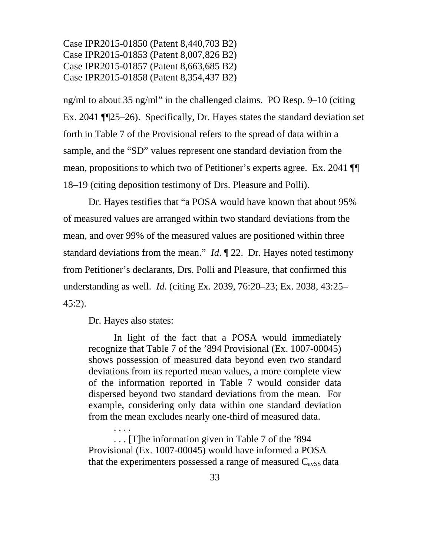ng/ml to about 35 ng/ml" in the challenged claims. PO Resp. 9–10 (citing Ex. 2041 ¶¶25–26). Specifically, Dr. Hayes states the standard deviation set forth in Table 7 of the Provisional refers to the spread of data within a sample, and the "SD" values represent one standard deviation from the mean, propositions to which two of Petitioner's experts agree. Ex. 2041 ¶¶ 18–19 (citing deposition testimony of Drs. Pleasure and Polli).

Dr. Hayes testifies that "a POSA would have known that about 95% of measured values are arranged within two standard deviations from the mean, and over 99% of the measured values are positioned within three standard deviations from the mean." *Id*. ¶ 22. Dr. Hayes noted testimony from Petitioner's declarants, Drs. Polli and Pleasure, that confirmed this understanding as well. *Id*. (citing Ex. 2039, 76:20–23; Ex. 2038, 43:25– 45:2).

Dr. Hayes also states:

. . . .

In light of the fact that a POSA would immediately recognize that Table 7 of the '894 Provisional (Ex. 1007-00045) shows possession of measured data beyond even two standard deviations from its reported mean values, a more complete view of the information reported in Table 7 would consider data dispersed beyond two standard deviations from the mean. For example, considering only data within one standard deviation from the mean excludes nearly one-third of measured data.

. . . [T]he information given in Table 7 of the '894 Provisional (Ex. 1007-00045) would have informed a POSA that the experimenters possessed a range of measured  $C_{avSS}$  data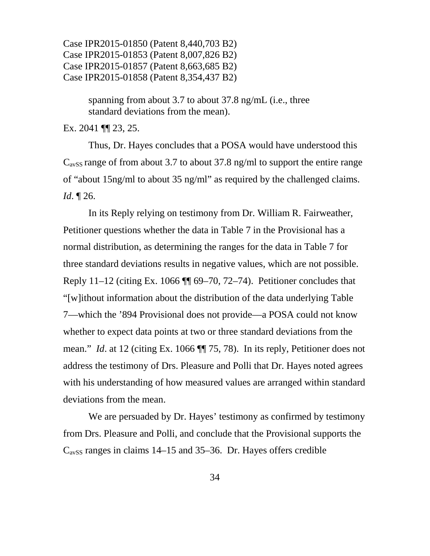> spanning from about 3.7 to about 37.8 ng/mL (i.e., three standard deviations from the mean).

Ex. 2041 ¶¶ 23, 25.

Thus, Dr. Hayes concludes that a POSA would have understood this  $C_{avSS}$  range of from about 3.7 to about 37.8 ng/ml to support the entire range of "about 15ng/ml to about 35 ng/ml" as required by the challenged claims. *Id*. ¶ 26.

In its Reply relying on testimony from Dr. William R. Fairweather, Petitioner questions whether the data in Table 7 in the Provisional has a normal distribution, as determining the ranges for the data in Table 7 for three standard deviations results in negative values, which are not possible. Reply 11–12 (citing Ex. 1066 ¶¶ 69–70, 72–74). Petitioner concludes that "[w]ithout information about the distribution of the data underlying Table 7—which the '894 Provisional does not provide—a POSA could not know whether to expect data points at two or three standard deviations from the mean." *Id*. at 12 (citing Ex. 1066 ¶¶ 75, 78). In its reply, Petitioner does not address the testimony of Drs. Pleasure and Polli that Dr. Hayes noted agrees with his understanding of how measured values are arranged within standard deviations from the mean.

We are persuaded by Dr. Hayes' testimony as confirmed by testimony from Drs. Pleasure and Polli, and conclude that the Provisional supports the  $C<sub>avSS</sub>$  ranges in claims 14–15 and 35–36. Dr. Hayes offers credible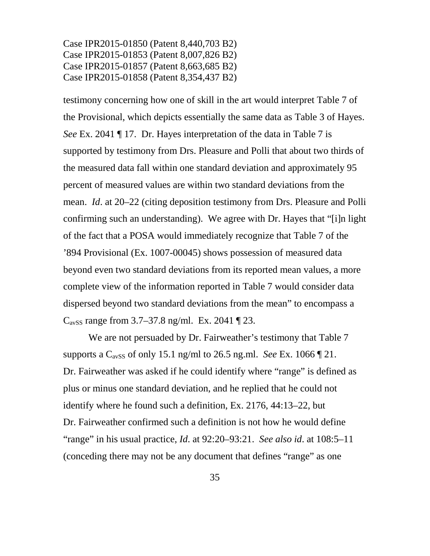testimony concerning how one of skill in the art would interpret Table 7 of the Provisional, which depicts essentially the same data as Table 3 of Hayes. *See* Ex. 2041 ¶ 17. Dr. Hayes interpretation of the data in Table 7 is supported by testimony from Drs. Pleasure and Polli that about two thirds of the measured data fall within one standard deviation and approximately 95 percent of measured values are within two standard deviations from the mean. *Id*. at 20–22 (citing deposition testimony from Drs. Pleasure and Polli confirming such an understanding). We agree with Dr. Hayes that "[i]n light of the fact that a POSA would immediately recognize that Table 7 of the '894 Provisional (Ex. 1007-00045) shows possession of measured data beyond even two standard deviations from its reported mean values, a more complete view of the information reported in Table 7 would consider data dispersed beyond two standard deviations from the mean" to encompass a  $C<sub>avSS</sub>$  range from 3.7–37.8 ng/ml. Ex. 2041 ¶ 23.

We are not persuaded by Dr. Fairweather's testimony that Table 7 supports a  $C_{avSS}$  of only 15.1 ng/ml to 26.5 ng.ml. *See* Ex. 1066  $\P$  21. Dr. Fairweather was asked if he could identify where "range" is defined as plus or minus one standard deviation, and he replied that he could not identify where he found such a definition, Ex. 2176, 44:13–22, but Dr. Fairweather confirmed such a definition is not how he would define "range" in his usual practice, *Id*. at 92:20–93:21. *See also id*. at 108:5–11 (conceding there may not be any document that defines "range" as one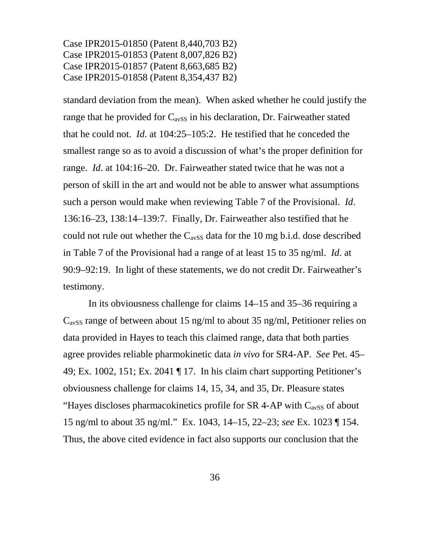standard deviation from the mean). When asked whether he could justify the range that he provided for  $C_{avSS}$  in his declaration, Dr. Fairweather stated that he could not. *Id*. at 104:25–105:2. He testified that he conceded the smallest range so as to avoid a discussion of what's the proper definition for range. *Id*. at 104:16–20. Dr. Fairweather stated twice that he was not a person of skill in the art and would not be able to answer what assumptions such a person would make when reviewing Table 7 of the Provisional. *Id*. 136:16–23, 138:14–139:7. Finally, Dr. Fairweather also testified that he could not rule out whether the  $C_{avSS}$  data for the 10 mg b.i.d. dose described in Table 7 of the Provisional had a range of at least 15 to 35 ng/ml. *Id*. at 90:9–92:19. In light of these statements, we do not credit Dr. Fairweather's testimony.

In its obviousness challenge for claims 14–15 and 35–36 requiring a  $C_{avSS}$  range of between about 15 ng/ml to about 35 ng/ml, Petitioner relies on data provided in Hayes to teach this claimed range, data that both parties agree provides reliable pharmokinetic data *in vivo* for SR4-AP. *See* Pet. 45– 49; Ex. 1002, 151; Ex. 2041 ¶ 17. In his claim chart supporting Petitioner's obviousness challenge for claims 14, 15, 34, and 35, Dr. Pleasure states "Hayes discloses pharmacokinetics profile for SR 4-AP with  $C_{avSS}$  of about 15 ng/ml to about 35 ng/ml." Ex. 1043, 14–15, 22–23; *see* Ex. 1023 ¶ 154. Thus, the above cited evidence in fact also supports our conclusion that the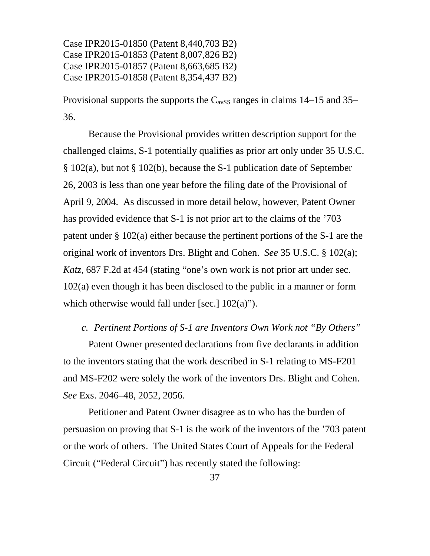Provisional supports the supports the  $C_{avSS}$  ranges in claims 14–15 and 35– 36.

Because the Provisional provides written description support for the challenged claims, S-1 potentially qualifies as prior art only under 35 U.S.C. § 102(a), but not § 102(b), because the S-1 publication date of September 26, 2003 is less than one year before the filing date of the Provisional of April 9, 2004. As discussed in more detail below, however, Patent Owner has provided evidence that S-1 is not prior art to the claims of the '703 patent under § 102(a) either because the pertinent portions of the S-1 are the original work of inventors Drs. Blight and Cohen. *See* 35 U.S.C. § 102(a); *Katz*, 687 F.2d at 454 (stating "one's own work is not prior art under sec. 102(a) even though it has been disclosed to the public in a manner or form which otherwise would fall under [sec.]  $102(a)$ ").

#### *c. Pertinent Portions of S-1 are Inventors Own Work not "By Others"*

Patent Owner presented declarations from five declarants in addition to the inventors stating that the work described in S-1 relating to MS-F201 and MS-F202 were solely the work of the inventors Drs. Blight and Cohen. *See* Exs. 2046–48, 2052, 2056.

Petitioner and Patent Owner disagree as to who has the burden of persuasion on proving that S-1 is the work of the inventors of the '703 patent or the work of others. The United States Court of Appeals for the Federal Circuit ("Federal Circuit") has recently stated the following: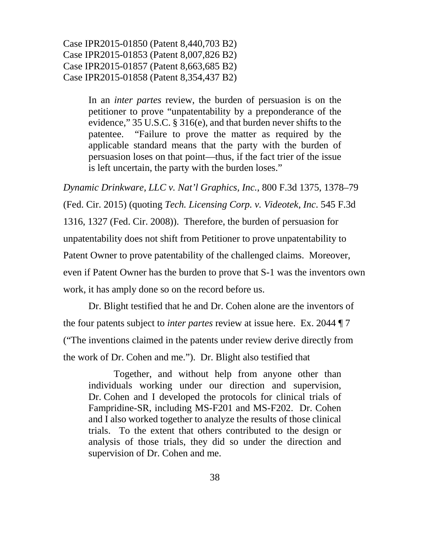> In an *inter partes* review, the burden of persuasion is on the petitioner to prove "unpatentability by a preponderance of the evidence," 35 U.S.C. § 316(e), and that burden never shifts to the patentee. "Failure to prove the matter as required by the applicable standard means that the party with the burden of persuasion loses on that point—thus, if the fact trier of the issue is left uncertain, the party with the burden loses."

*Dynamic Drinkware, LLC v. Nat'l Graphics, Inc.*, 800 F.3d 1375, 1378–79 (Fed. Cir. 2015) (quoting *Tech. Licensing Corp. v. Videotek, Inc*. 545 F.3d 1316, 1327 (Fed. Cir. 2008)). Therefore, the burden of persuasion for unpatentability does not shift from Petitioner to prove unpatentability to Patent Owner to prove patentability of the challenged claims. Moreover, even if Patent Owner has the burden to prove that S-1 was the inventors own work, it has amply done so on the record before us.

Dr. Blight testified that he and Dr. Cohen alone are the inventors of the four patents subject to *inter partes* review at issue here. Ex. 2044 ¶ 7 ("The inventions claimed in the patents under review derive directly from the work of Dr. Cohen and me."). Dr. Blight also testified that

Together, and without help from anyone other than individuals working under our direction and supervision, Dr. Cohen and I developed the protocols for clinical trials of Fampridine-SR, including MS-F201 and MS-F202. Dr. Cohen and I also worked together to analyze the results of those clinical trials. To the extent that others contributed to the design or analysis of those trials, they did so under the direction and supervision of Dr. Cohen and me.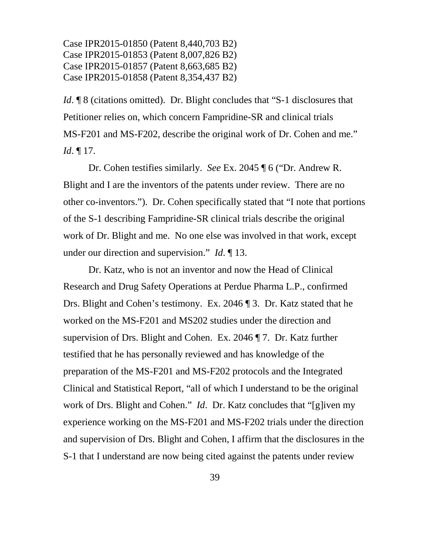*Id*. **¶** 8 (citations omitted). Dr. Blight concludes that "S-1 disclosures that Petitioner relies on, which concern Fampridine-SR and clinical trials MS-F201 and MS-F202, describe the original work of Dr. Cohen and me." *Id*. ¶ 17.

Dr. Cohen testifies similarly. *See* Ex. 2045 ¶ 6 ("Dr. Andrew R. Blight and I are the inventors of the patents under review. There are no other co-inventors."). Dr. Cohen specifically stated that "I note that portions of the S-1 describing Fampridine-SR clinical trials describe the original work of Dr. Blight and me. No one else was involved in that work, except under our direction and supervision." *Id*. ¶ 13.

Dr. Katz, who is not an inventor and now the Head of Clinical Research and Drug Safety Operations at Perdue Pharma L.P., confirmed Drs. Blight and Cohen's testimony. Ex. 2046 ¶ 3. Dr. Katz stated that he worked on the MS-F201 and MS202 studies under the direction and supervision of Drs. Blight and Cohen. Ex. 2046 ¶ 7. Dr. Katz further testified that he has personally reviewed and has knowledge of the preparation of the MS-F201 and MS-F202 protocols and the Integrated Clinical and Statistical Report, "all of which I understand to be the original work of Drs. Blight and Cohen." *Id*. Dr. Katz concludes that "[g]iven my experience working on the MS-F201 and MS-F202 trials under the direction and supervision of Drs. Blight and Cohen, I affirm that the disclosures in the S-1 that I understand are now being cited against the patents under review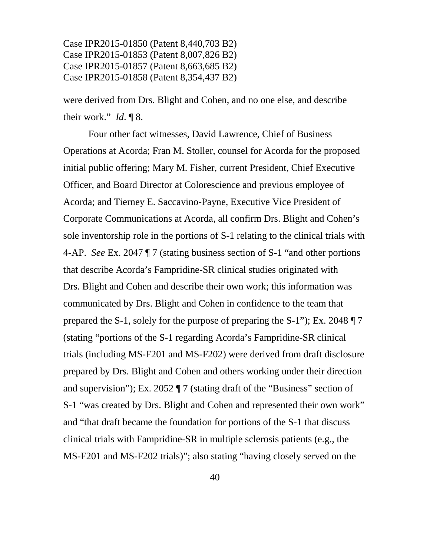were derived from Drs. Blight and Cohen, and no one else, and describe their work." *Id*. ¶ 8.

Four other fact witnesses, David Lawrence, Chief of Business Operations at Acorda; Fran M. Stoller, counsel for Acorda for the proposed initial public offering; Mary M. Fisher, current President, Chief Executive Officer, and Board Director at Colorescience and previous employee of Acorda; and Tierney E. Saccavino-Payne, Executive Vice President of Corporate Communications at Acorda, all confirm Drs. Blight and Cohen's sole inventorship role in the portions of S-1 relating to the clinical trials with 4-AP. *See* Ex. 2047 ¶ 7 (stating business section of S-1 "and other portions that describe Acorda's Fampridine-SR clinical studies originated with Drs. Blight and Cohen and describe their own work; this information was communicated by Drs. Blight and Cohen in confidence to the team that prepared the S-1, solely for the purpose of preparing the S-1"); Ex. 2048 ¶ 7 (stating "portions of the S-1 regarding Acorda's Fampridine-SR clinical trials (including MS-F201 and MS-F202) were derived from draft disclosure prepared by Drs. Blight and Cohen and others working under their direction and supervision"); Ex. 2052 ¶ 7 (stating draft of the "Business" section of S-1 "was created by Drs. Blight and Cohen and represented their own work" and "that draft became the foundation for portions of the S-1 that discuss clinical trials with Fampridine-SR in multiple sclerosis patients (e.g., the MS-F201 and MS-F202 trials)"; also stating "having closely served on the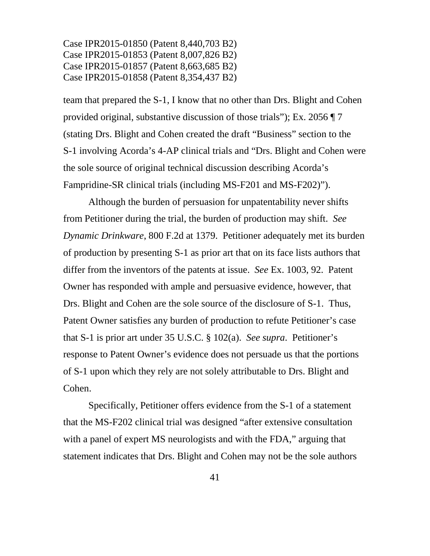team that prepared the S-1, I know that no other than Drs. Blight and Cohen provided original, substantive discussion of those trials"); Ex. 2056 ¶ 7 (stating Drs. Blight and Cohen created the draft "Business" section to the S-1 involving Acorda's 4-AP clinical trials and "Drs. Blight and Cohen were the sole source of original technical discussion describing Acorda's Fampridine-SR clinical trials (including MS-F201 and MS-F202)").

Although the burden of persuasion for unpatentability never shifts from Petitioner during the trial, the burden of production may shift. *See Dynamic Drinkware*, 800 F.2d at 1379. Petitioner adequately met its burden of production by presenting S-1 as prior art that on its face lists authors that differ from the inventors of the patents at issue. *See* Ex. 1003, 92. Patent Owner has responded with ample and persuasive evidence, however, that Drs. Blight and Cohen are the sole source of the disclosure of S-1. Thus, Patent Owner satisfies any burden of production to refute Petitioner's case that S-1 is prior art under 35 U.S.C. § 102(a). *See supra*. Petitioner's response to Patent Owner's evidence does not persuade us that the portions of S-1 upon which they rely are not solely attributable to Drs. Blight and Cohen.

Specifically, Petitioner offers evidence from the S-1 of a statement that the MS-F202 clinical trial was designed "after extensive consultation with a panel of expert MS neurologists and with the FDA," arguing that statement indicates that Drs. Blight and Cohen may not be the sole authors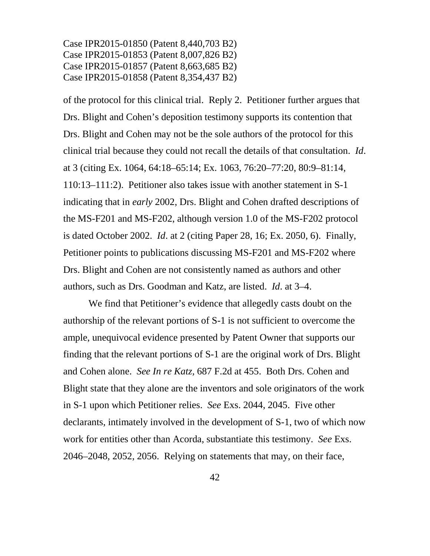of the protocol for this clinical trial. Reply 2. Petitioner further argues that Drs. Blight and Cohen's deposition testimony supports its contention that Drs. Blight and Cohen may not be the sole authors of the protocol for this clinical trial because they could not recall the details of that consultation. *Id*. at 3 (citing Ex. 1064, 64:18–65:14; Ex. 1063, 76:20–77:20, 80:9–81:14, 110:13–111:2). Petitioner also takes issue with another statement in S-1 indicating that in *early* 2002, Drs. Blight and Cohen drafted descriptions of the MS-F201 and MS-F202, although version 1.0 of the MS-F202 protocol is dated October 2002. *Id*. at 2 (citing Paper 28, 16; Ex. 2050, 6). Finally, Petitioner points to publications discussing MS-F201 and MS-F202 where Drs. Blight and Cohen are not consistently named as authors and other authors, such as Drs. Goodman and Katz, are listed. *Id*. at 3–4.

We find that Petitioner's evidence that allegedly casts doubt on the authorship of the relevant portions of S-1 is not sufficient to overcome the ample, unequivocal evidence presented by Patent Owner that supports our finding that the relevant portions of S-1 are the original work of Drs. Blight and Cohen alone. *See In re Katz,* 687 F.2d at 455. Both Drs. Cohen and Blight state that they alone are the inventors and sole originators of the work in S-1 upon which Petitioner relies. *See* Exs. 2044, 2045. Five other declarants, intimately involved in the development of S-1, two of which now work for entities other than Acorda, substantiate this testimony. *See* Exs. 2046–2048, 2052, 2056. Relying on statements that may, on their face,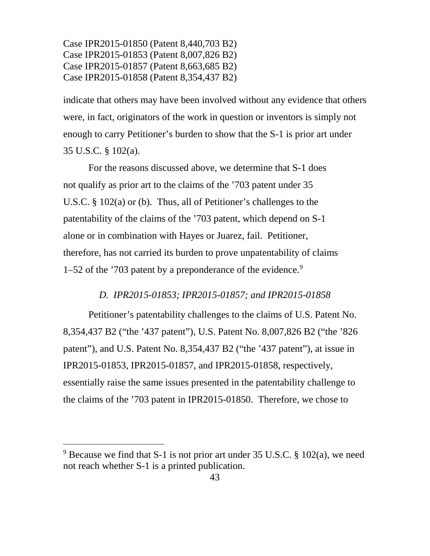indicate that others may have been involved without any evidence that others were, in fact, originators of the work in question or inventors is simply not enough to carry Petitioner's burden to show that the S-1 is prior art under 35 U.S.C. § 102(a).

For the reasons discussed above, we determine that S-1 does not qualify as prior art to the claims of the '703 patent under 35 U.S.C. § 102(a) or (b). Thus, all of Petitioner's challenges to the patentability of the claims of the '703 patent, which depend on S-1 alone or in combination with Hayes or Juarez, fail. Petitioner, therefore, has not carried its burden to prove unpatentability of claims 1–52 of the  $'703$  patent by a preponderance of the evidence.<sup>[9](#page-42-0)</sup>

# *D. IPR2015-01853; IPR2015-01857; and IPR2015-01858*

Petitioner's patentability challenges to the claims of U.S. Patent No. 8,354,437 B2 ("the '437 patent"), U.S. Patent No. 8,007,826 B2 ("the '826 patent"), and U.S. Patent No. 8,354,437 B2 ("the '437 patent"), at issue in IPR2015-01853, IPR2015-01857, and IPR2015-01858, respectively, essentially raise the same issues presented in the patentability challenge to the claims of the '703 patent in IPR2015-01850. Therefore, we chose to

<span id="page-42-0"></span> $9$  Because we find that S-1 is not prior art under 35 U.S.C. § 102(a), we need not reach whether S-1 is a printed publication.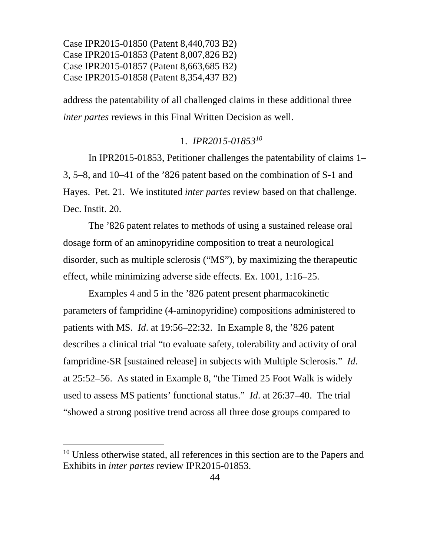address the patentability of all challenged claims in these additional three *inter partes* reviews in this Final Written Decision as well.

# 1. *IPR2015-01853[10](#page-43-0)*

In IPR2015-01853, Petitioner challenges the patentability of claims 1– 3, 5–8, and 10–41 of the '826 patent based on the combination of S-1 and Hayes. Pet. 21. We instituted *inter partes* review based on that challenge. Dec. Instit. 20.

The '826 patent relates to methods of using a sustained release oral dosage form of an aminopyridine composition to treat a neurological disorder, such as multiple sclerosis ("MS"), by maximizing the therapeutic effect, while minimizing adverse side effects. Ex. 1001, 1:16–25.

Examples 4 and 5 in the '826 patent present pharmacokinetic parameters of fampridine (4-aminopyridine) compositions administered to patients with MS. *Id*. at 19:56–22:32. In Example 8, the '826 patent describes a clinical trial "to evaluate safety, tolerability and activity of oral fampridine-SR [sustained release] in subjects with Multiple Sclerosis." *Id*. at 25:52–56. As stated in Example 8, "the Timed 25 Foot Walk is widely used to assess MS patients' functional status." *Id*. at 26:37–40. The trial "showed a strong positive trend across all three dose groups compared to

<span id="page-43-0"></span><sup>&</sup>lt;sup>10</sup> Unless otherwise stated, all references in this section are to the Papers and Exhibits in *inter partes* review IPR2015-01853.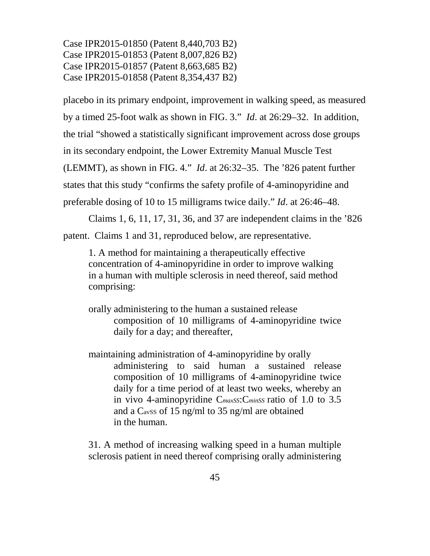placebo in its primary endpoint, improvement in walking speed, as measured by a timed 25-foot walk as shown in FIG. 3." *Id*. at 26:29–32. In addition, the trial "showed a statistically significant improvement across dose groups in its secondary endpoint, the Lower Extremity Manual Muscle Test (LEMMT), as shown in FIG. 4." *Id*. at 26:32–35. The '826 patent further states that this study "confirms the safety profile of 4-aminopyridine and preferable dosing of 10 to 15 milligrams twice daily." *Id*. at 26:46–48.

Claims 1, 6, 11, 17, 31, 36, and 37 are independent claims in the '826 patent. Claims 1 and 31, reproduced below, are representative.

1. A method for maintaining a therapeutically effective concentration of 4-aminopyridine in order to improve walking in a human with multiple sclerosis in need thereof, said method comprising:

orally administering to the human a sustained release composition of 10 milligrams of 4-aminopyridine twice daily for a day; and thereafter,

maintaining administration of 4-aminopyridine by orally administering to said human a sustained release composition of 10 milligrams of 4-aminopyridine twice daily for a time period of at least two weeks, whereby an in vivo 4-aminopyridine C*maxSS*:C*minSS* ratio of 1.0 to 3.5 and a C<sub>avSS</sub> of 15 ng/ml to 35 ng/ml are obtained in the human.

31. A method of increasing walking speed in a human multiple sclerosis patient in need thereof comprising orally administering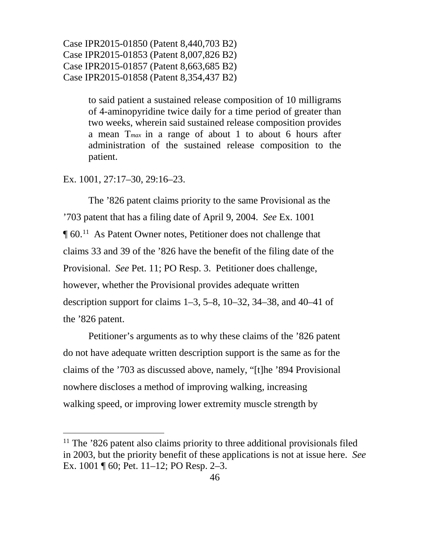> to said patient a sustained release composition of 10 milligrams of 4-aminopyridine twice daily for a time period of greater than two weeks, wherein said sustained release composition provides a mean T*max* in a range of about 1 to about 6 hours after administration of the sustained release composition to the patient.

Ex. 1001, 27:17–30, 29:16–23.

The '826 patent claims priority to the same Provisional as the '703 patent that has a filing date of April 9, 2004. *See* Ex. 1001 ¶ 60.[11](#page-45-0) As Patent Owner notes, Petitioner does not challenge that claims 33 and 39 of the '826 have the benefit of the filing date of the Provisional. *See* Pet. 11; PO Resp. 3. Petitioner does challenge, however, whether the Provisional provides adequate written description support for claims  $1-3$ ,  $5-8$ ,  $10-32$ ,  $34-38$ , and  $40-41$  of the '826 patent.

Petitioner's arguments as to why these claims of the '826 patent do not have adequate written description support is the same as for the claims of the '703 as discussed above, namely, "[t]he '894 Provisional nowhere discloses a method of improving walking, increasing walking speed, or improving lower extremity muscle strength by

<span id="page-45-0"></span><sup>&</sup>lt;sup>11</sup> The '826 patent also claims priority to three additional provisionals filed in 2003, but the priority benefit of these applications is not at issue here. *See* Ex. 1001 ¶ 60; Pet. 11–12; PO Resp. 2–3.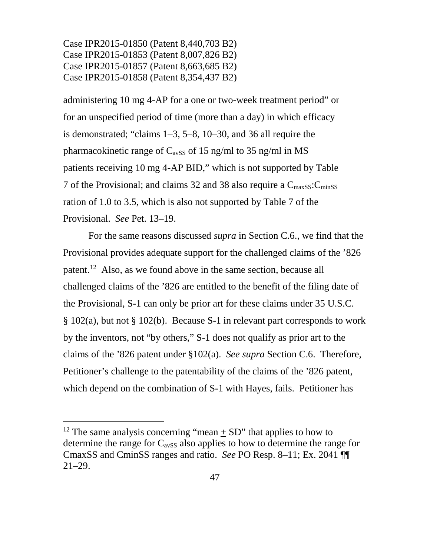administering 10 mg 4-AP for a one or two-week treatment period" or for an unspecified period of time (more than a day) in which efficacy is demonstrated; "claims 1–3, 5–8, 10–30, and 36 all require the pharmacokinetic range of  $C_{avSS}$  of 15 ng/ml to 35 ng/ml in MS patients receiving 10 mg 4-AP BID," which is not supported by Table 7 of the Provisional; and claims 32 and 38 also require a  $C_{maxSS}$ :  $C_{minSS}$ ration of 1.0 to 3.5, which is also not supported by Table 7 of the Provisional. *See* Pet. 13–19.

For the same reasons discussed *supra* in Section C.6., we find that the Provisional provides adequate support for the challenged claims of the '826 patent.<sup>[12](#page-46-0)</sup> Also, as we found above in the same section, because all challenged claims of the '826 are entitled to the benefit of the filing date of the Provisional, S-1 can only be prior art for these claims under 35 U.S.C. § 102(a), but not § 102(b). Because S-1 in relevant part corresponds to work by the inventors, not "by others," S-1 does not qualify as prior art to the claims of the '826 patent under §102(a). *See supra* Section C.6. Therefore, Petitioner's challenge to the patentability of the claims of the '826 patent, which depend on the combination of S-1 with Hayes, fails. Petitioner has

<span id="page-46-0"></span><sup>&</sup>lt;sup>12</sup> The same analysis concerning "mean  $+$  SD" that applies to how to determine the range for  $C_{avSS}$  also applies to how to determine the range for CmaxSS and CminSS ranges and ratio. *See* PO Resp. 8–11; Ex. 2041 ¶¶ 21–29.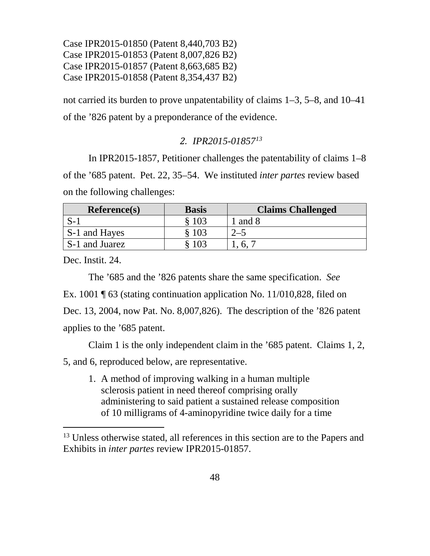not carried its burden to prove unpatentability of claims 1–3, 5–8, and 10–41 of the '826 patent by a preponderance of the evidence.

# *2. IPR2015-01857[13](#page-47-0)*

In IPR2015-1857, Petitioner challenges the patentability of claims 1–8 of the '685 patent. Pet. 22, 35–54. We instituted *inter partes* review based on the following challenges:

| Reference(s)   | <b>Basis</b> | <b>Claims Challenged</b> |
|----------------|--------------|--------------------------|
|                | \$103        | l and 8                  |
| S-1 and Hayes  | \$103        | $2 - 5$                  |
| S-1 and Juarez | 103          |                          |

Dec. Instit. 24.

The '685 and the '826 patents share the same specification. *See* Ex. 1001 ¶ 63 (stating continuation application No. 11/010,828, filed on Dec. 13, 2004, now Pat. No. 8,007,826). The description of the '826 patent applies to the '685 patent.

Claim 1 is the only independent claim in the '685 patent. Claims 1, 2,

5, and 6, reproduced below, are representative.

1. A method of improving walking in a human multiple sclerosis patient in need thereof comprising orally administering to said patient a sustained release composition of 10 milligrams of 4-aminopyridine twice daily for a time

<span id="page-47-0"></span><sup>13</sup> Unless otherwise stated, all references in this section are to the Papers and Exhibits in *inter partes* review IPR2015-01857.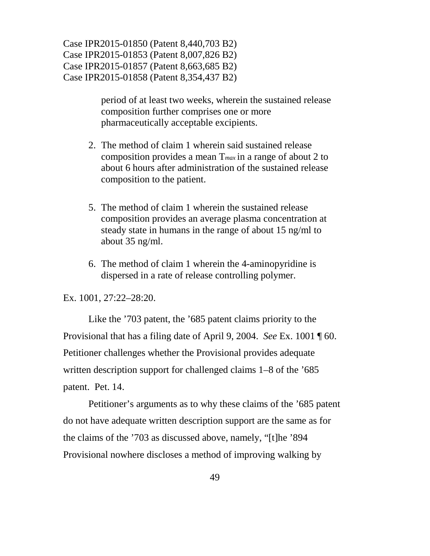> period of at least two weeks, wherein the sustained release composition further comprises one or more pharmaceutically acceptable excipients.

- 2. The method of claim 1 wherein said sustained release composition provides a mean T*max* in a range of about 2 to about 6 hours after administration of the sustained release composition to the patient.
- 5. The method of claim 1 wherein the sustained release composition provides an average plasma concentration at steady state in humans in the range of about 15 ng/ml to about 35 ng/ml.
- 6. The method of claim 1 wherein the 4-aminopyridine is dispersed in a rate of release controlling polymer.

Ex. 1001, 27:22–28:20.

Like the '703 patent, the '685 patent claims priority to the Provisional that has a filing date of April 9, 2004. *See* Ex. 1001 ¶ 60. Petitioner challenges whether the Provisional provides adequate written description support for challenged claims 1–8 of the '685 patent. Pet. 14.

Petitioner's arguments as to why these claims of the '685 patent do not have adequate written description support are the same as for the claims of the '703 as discussed above, namely, "[t]he '894 Provisional nowhere discloses a method of improving walking by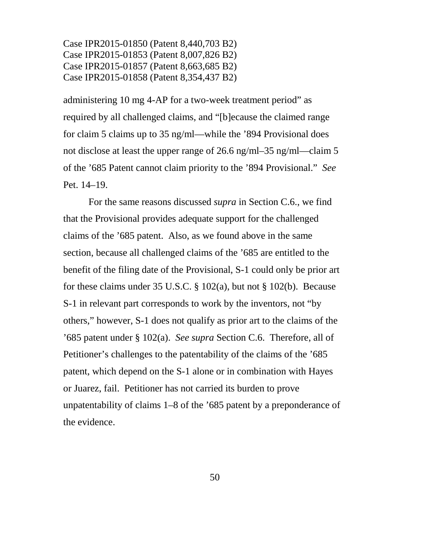administering 10 mg 4-AP for a two-week treatment period" as required by all challenged claims, and "[b]ecause the claimed range for claim 5 claims up to 35 ng/ml—while the '894 Provisional does not disclose at least the upper range of 26.6 ng/ml–35 ng/ml—claim 5 of the '685 Patent cannot claim priority to the '894 Provisional." *See* Pet. 14–19.

For the same reasons discussed *supra* in Section C.6., we find that the Provisional provides adequate support for the challenged claims of the '685 patent. Also, as we found above in the same section, because all challenged claims of the '685 are entitled to the benefit of the filing date of the Provisional, S-1 could only be prior art for these claims under 35 U.S.C.  $\S$  102(a), but not  $\S$  102(b). Because S-1 in relevant part corresponds to work by the inventors, not "by others," however, S-1 does not qualify as prior art to the claims of the '685 patent under § 102(a). *See supra* Section C.6. Therefore, all of Petitioner's challenges to the patentability of the claims of the '685 patent, which depend on the S-1 alone or in combination with Hayes or Juarez, fail. Petitioner has not carried its burden to prove unpatentability of claims 1–8 of the '685 patent by a preponderance of the evidence.

50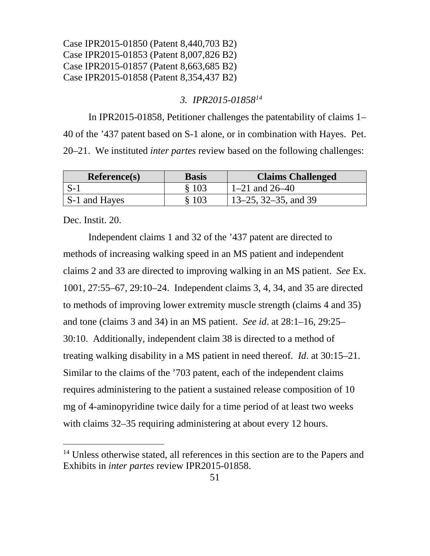## *3. IPR2015-01858[14](#page-50-0)*

In IPR2015-01858, Petitioner challenges the patentability of claims 1– 40 of the '437 patent based on S-1 alone, or in combination with Hayes. Pet. 20–21. We instituted *inter partes* review based on the following challenges:

| Reference(s)  | <b>Basis</b> | <b>Claims Challenged</b> |
|---------------|--------------|--------------------------|
| $S-1$         | \$103        | $1-21$ and $26-40$       |
| S-1 and Hayes | § 103        | $13-25$ , 32-35, and 39  |

Dec. Instit. 20.

Independent claims 1 and 32 of the '437 patent are directed to methods of increasing walking speed in an MS patient and independent claims 2 and 33 are directed to improving walking in an MS patient. *See* Ex. 1001, 27:55–67, 29:10–24. Independent claims 3, 4, 34, and 35 are directed to methods of improving lower extremity muscle strength (claims 4 and 35) and tone (claims 3 and 34) in an MS patient. *See id*. at 28:1–16, 29:25– 30:10. Additionally, independent claim 38 is directed to a method of treating walking disability in a MS patient in need thereof. *Id*. at 30:15–21. Similar to the claims of the '703 patent, each of the independent claims requires administering to the patient a sustained release composition of 10 mg of 4-aminopyridine twice daily for a time period of at least two weeks with claims 32–35 requiring administering at about every 12 hours.

<span id="page-50-0"></span><sup>&</sup>lt;sup>14</sup> Unless otherwise stated, all references in this section are to the Papers and Exhibits in *inter partes* review IPR2015-01858.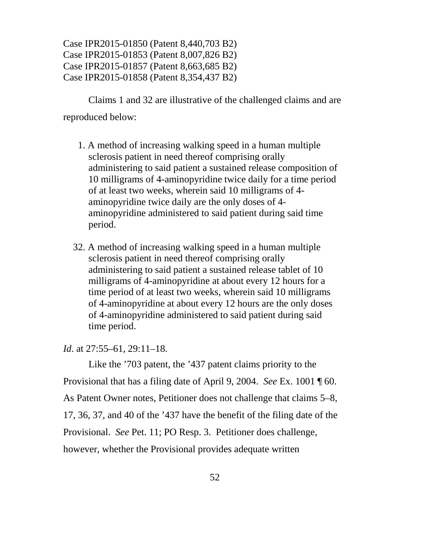Claims 1 and 32 are illustrative of the challenged claims and are reproduced below:

- 1. A method of increasing walking speed in a human multiple sclerosis patient in need thereof comprising orally administering to said patient a sustained release composition of 10 milligrams of 4-aminopyridine twice daily for a time period of at least two weeks, wherein said 10 milligrams of 4 aminopyridine twice daily are the only doses of 4 aminopyridine administered to said patient during said time period.
- 32. A method of increasing walking speed in a human multiple sclerosis patient in need thereof comprising orally administering to said patient a sustained release tablet of 10 milligrams of 4-aminopyridine at about every 12 hours for a time period of at least two weeks, wherein said 10 milligrams of 4-aminopyridine at about every 12 hours are the only doses of 4-aminopyridine administered to said patient during said time period.

*Id*. at 27:55–61, 29:11–18.

Like the '703 patent, the '437 patent claims priority to the Provisional that has a filing date of April 9, 2004. *See* Ex. 1001 ¶ 60. As Patent Owner notes, Petitioner does not challenge that claims 5–8, 17, 36, 37, and 40 of the '437 have the benefit of the filing date of the Provisional. *See* Pet. 11; PO Resp. 3. Petitioner does challenge, however, whether the Provisional provides adequate written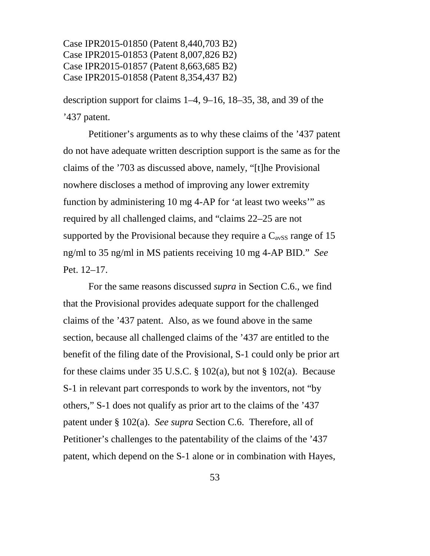description support for claims 1–4, 9–16, 18–35, 38, and 39 of the '437 patent.

Petitioner's arguments as to why these claims of the '437 patent do not have adequate written description support is the same as for the claims of the '703 as discussed above, namely, "[t]he Provisional nowhere discloses a method of improving any lower extremity function by administering 10 mg 4-AP for 'at least two weeks'" as required by all challenged claims, and "claims 22–25 are not supported by the Provisional because they require a  $C_{avSS}$  range of 15 ng/ml to 35 ng/ml in MS patients receiving 10 mg 4-AP BID." *See* Pet. 12–17.

For the same reasons discussed *supra* in Section C.6., we find that the Provisional provides adequate support for the challenged claims of the '437 patent. Also, as we found above in the same section, because all challenged claims of the '437 are entitled to the benefit of the filing date of the Provisional, S-1 could only be prior art for these claims under 35 U.S.C.  $\S$  102(a), but not  $\S$  102(a). Because S-1 in relevant part corresponds to work by the inventors, not "by others," S-1 does not qualify as prior art to the claims of the '437 patent under § 102(a). *See supra* Section C.6. Therefore, all of Petitioner's challenges to the patentability of the claims of the '437 patent, which depend on the S-1 alone or in combination with Hayes,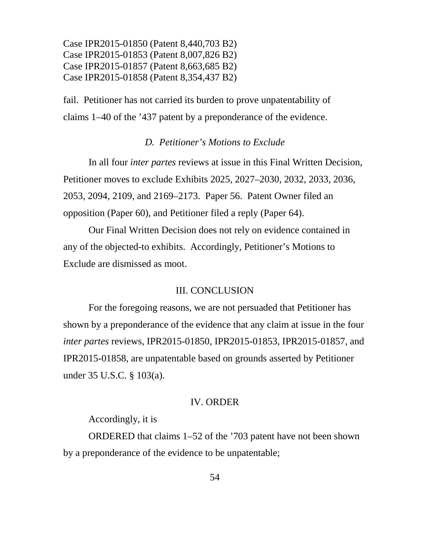fail. Petitioner has not carried its burden to prove unpatentability of claims 1–40 of the '437 patent by a preponderance of the evidence.

## *D. Petitioner's Motions to Exclude*

In all four *inter partes* reviews at issue in this Final Written Decision, Petitioner moves to exclude Exhibits 2025, 2027–2030, 2032, 2033, 2036, 2053, 2094, 2109, and 2169–2173. Paper 56. Patent Owner filed an opposition (Paper 60), and Petitioner filed a reply (Paper 64).

Our Final Written Decision does not rely on evidence contained in any of the objected-to exhibits. Accordingly, Petitioner's Motions to Exclude are dismissed as moot.

#### III. CONCLUSION

For the foregoing reasons, we are not persuaded that Petitioner has shown by a preponderance of the evidence that any claim at issue in the four *inter partes* reviews, IPR2015-01850, IPR2015-01853, IPR2015-01857, and IPR2015-01858, are unpatentable based on grounds asserted by Petitioner under 35 U.S.C. § 103(a).

#### IV. ORDER

#### Accordingly, it is

ORDERED that claims 1–52 of the '703 patent have not been shown by a preponderance of the evidence to be unpatentable;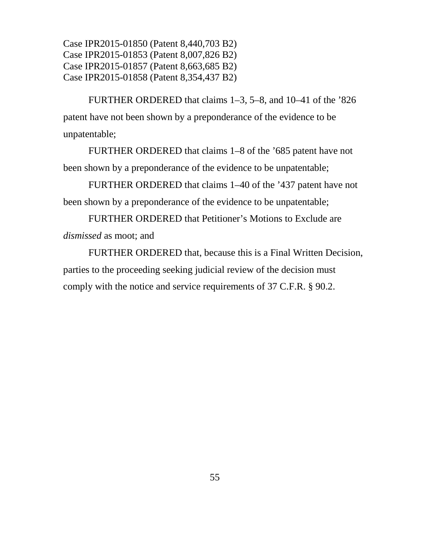FURTHER ORDERED that claims 1–3, 5–8, and 10–41 of the '826 patent have not been shown by a preponderance of the evidence to be unpatentable;

FURTHER ORDERED that claims 1–8 of the '685 patent have not been shown by a preponderance of the evidence to be unpatentable;

FURTHER ORDERED that claims 1–40 of the '437 patent have not been shown by a preponderance of the evidence to be unpatentable;

FURTHER ORDERED that Petitioner's Motions to Exclude are *dismissed* as moot; and

FURTHER ORDERED that, because this is a Final Written Decision, parties to the proceeding seeking judicial review of the decision must comply with the notice and service requirements of 37 C.F.R. § 90.2.